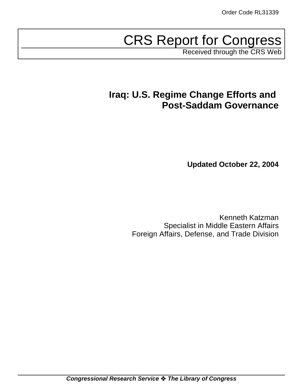# CRS Report for Congress

Received through the CRS Web

# **Iraq: U.S. Regime Change Efforts and Post-Saddam Governance**

**Updated October 22, 2004**

Kenneth Katzman Specialist in Middle Eastern Affairs Foreign Affairs, Defense, and Trade Division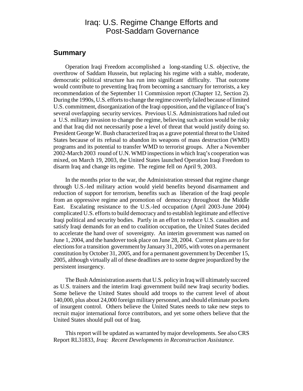## Iraq: U.S. Regime Change Efforts and Post-Saddam Governance

#### **Summary**

Operation Iraqi Freedom accomplished a long-standing U.S. objective, the overthrow of Saddam Hussein, but replacing his regime with a stable, moderate, democratic political structure has run into significant difficulty. That outcome would contribute to preventing Iraq from becoming a sanctuary for terrorists, a key recommendation of the September 11 Commission report (Chapter 12, Section 2). During the 1990s, U.S. efforts to change the regime covertly failed because of limited U.S. commitment, disorganization of the Iraqi opposition, and the vigilance of Iraq's several overlapping security services. Previous U.S. Administrations had ruled out a U.S. military invasion to change the regime, believing such action would be risky and that Iraq did not necessarily pose a level of threat that would justify doing so. President George W. Bush characterized Iraq as a grave potential threat to the United States because of its refusal to abandon its weapons of mass destruction (WMD) programs and its potential to transfer WMD to terrorist groups. After a November 2002-March 2003 round of U.N. WMD inspections in which Iraq's cooperation was mixed, on March 19, 2003, the United States launched Operation Iraqi Freedom to disarm Iraq and change its regime. The regime fell on April 9, 2003.

In the months prior to the war, the Administration stressed that regime change through U.S.-led military action would yield benefits beyond disarmament and reduction of support for terrorism, benefits such as liberation of the Iraqi people from an oppressive regime and promotion of democracy throughout the Middle East. Escalating resistance to the U.S.-led occupation (April 2003-June 2004) complicated U.S. efforts to build democracy and to establish legitimate and effective Iraqi political and security bodies. Partly in an effort to reduce U.S. casualties and satisfy Iraqi demands for an end to coalition occupation, the United States decided to accelerate the hand over of sovereignty. An interim government was named on June 1, 2004, and the handover took place on June 28, 2004. Current plans are to for elections for a transition government by January 31, 2005, with votes on a permanent constitution by October 31, 2005, and for a permanent government by December 15, 2005, although virtually all of these deadlines are to some degree jeopardized by the persistent insurgency.

The Bush Administration asserts that U.S. policy in Iraq will ultimately succeed as U.S. trainers and the interim Iraqi government build new Iraqi security bodies. Some believe the United States should add troops to the current level of about 140,000, plus about 24,000 foreign military personnel, and should eliminate pockets of insurgent control. Others believe the United States needs to take new steps to recruit major international force contributors, and yet some others believe that the United States should pull out of Iraq.

This report will be updated as warranted by major developments. See also CRS Report RL31833, *Iraq: Recent Developments in Reconstruction Assistance.*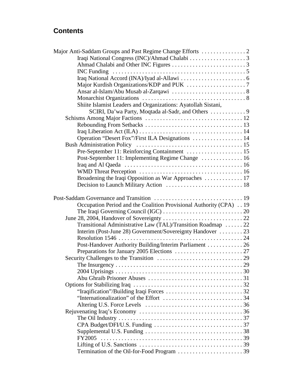# **Contents**

| Shiite Islamist Leaders and Organizations: Ayatollah Sistani,       |  |
|---------------------------------------------------------------------|--|
|                                                                     |  |
|                                                                     |  |
|                                                                     |  |
|                                                                     |  |
| Operation "Desert Fox"/First ILA Designations  14                   |  |
|                                                                     |  |
|                                                                     |  |
|                                                                     |  |
|                                                                     |  |
|                                                                     |  |
| Broadening the Iraqi Opposition as War Approaches  17               |  |
|                                                                     |  |
|                                                                     |  |
|                                                                     |  |
| Occupation Period and the Coalition Provisional Authority (CPA)  19 |  |
|                                                                     |  |
|                                                                     |  |
| Transitional Administrative Law (TAL)/Transition Roadmap  22        |  |
| Interim (Post-June 28) Government/Sovereignty Handover  23          |  |
|                                                                     |  |
| Post-Handover Authority Building/Interim Parliament  26             |  |
|                                                                     |  |
|                                                                     |  |
|                                                                     |  |
|                                                                     |  |
|                                                                     |  |
|                                                                     |  |
|                                                                     |  |
|                                                                     |  |
|                                                                     |  |
|                                                                     |  |
|                                                                     |  |
|                                                                     |  |
|                                                                     |  |
|                                                                     |  |
|                                                                     |  |
|                                                                     |  |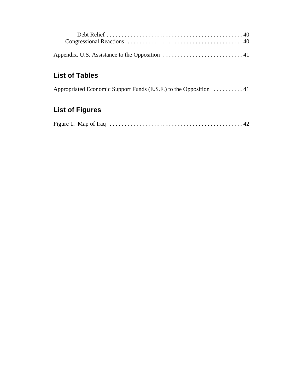# **List of Tables**

|  | Appropriated Economic Support Funds (E.S.F.) to the Opposition 41 |  |
|--|-------------------------------------------------------------------|--|
|  |                                                                   |  |

# **List of Figures**

|--|--|--|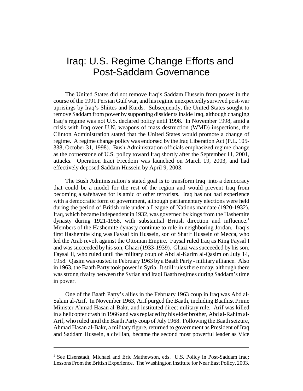# Iraq: U.S. Regime Change Efforts and Post-Saddam Governance

The United States did not remove Iraq's Saddam Hussein from power in the course of the 1991 Persian Gulf war, and his regime unexpectedly survived post-war uprisings by Iraq's Shiites and Kurds. Subsequently, the United States sought to remove Saddam from power by supporting dissidents inside Iraq, although changing Iraq's regime was not U.S. declared policy until 1998. In November 1998, amid a crisis with Iraq over U.N. weapons of mass destruction (WMD) inspections, the Clinton Administration stated that the United States would promote a change of regime. A regime change policy was endorsed by the Iraq Liberation Act (P.L. 105- 338, October 31, 1998). Bush Administration officials emphasized regime change as the cornerstone of U.S. policy toward Iraq shortly after the September 11, 2001, attacks. Operation Iraqi Freedom was launched on March 19, 2003, and had effectively deposed Saddam Hussein by April 9, 2003.

The Bush Administration's stated goal is to transform Iraq into a democracy that could be a model for the rest of the region and would prevent Iraq from becoming a safehaven for Islamic or other terrorists. Iraq has not had experience with a democratic form of government, although parliamentary elections were held during the period of British rule under a League of Nations mandate (1920-1932). Iraq, which became independent in 1932, was governed by kings from the Hashemite dynasty during 1921-1958, with substantial British direction and influence.<sup>1</sup> Members of the Hashemite dynasty continue to rule in neighboring Jordan. Iraq's first Hashemite king was Faysal bin Hussein, son of Sharif Hussein of Mecca, who led the Arab revolt against the Ottoman Empire. Faysal ruled Iraq as King Faysal I and was succeeded by his son, Ghazi (1933-1939). Ghazi was succeeded by his son, Faysal II, who ruled until the military coup of Abd al-Karim al-Qasim on July 14, 1958. Qasim was ousted in February 1963 by a Baath Party - military alliance. Also in 1963, the Baath Party took power in Syria. It still rules there today, although there was strong rivalry between the Syrian and Iraqi Baath regimes during Saddam's time in power.

One of the Baath Party's allies in the February 1963 coup in Iraq was Abd al-Salam al-Arif. In November 1963, Arif purged the Baath, including Baathist Prime Minister Ahmad Hasan al-Bakr, and instituted direct military rule. Arif was killed in a helicopter crash in 1966 and was replaced by his elder brother, Abd al-Rahim al-Arif, who ruled until the Baath Party coup of July 1968. Following the Baath seizure, Ahmad Hasan al-Bakr, a military figure, returned to government as President of Iraq and Saddam Hussein, a civilian, became the second most powerful leader as Vice

<sup>&</sup>lt;sup>1</sup> See Eisenstadt, Michael and Eric Mathewson, eds. U.S. Policy in Post-Saddam Iraq: Lessons From the British Experience. The Washington Institute for Near East Policy, 2003.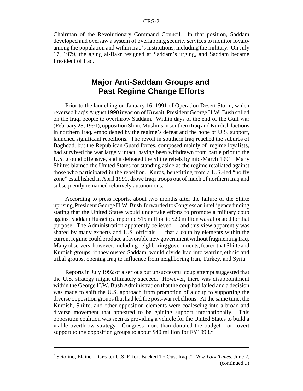Chairman of the Revolutionary Command Council. In that position, Saddam developed and oversaw a system of overlapping security services to monitor loyalty among the population and within Iraq's institutions, including the military. On July 17, 1979, the aging al-Bakr resigned at Saddam's urging, and Saddam became President of Iraq.

# **Major Anti-Saddam Groups and Past Regime Change Efforts**

Prior to the launching on January 16, 1991 of Operation Desert Storm, which reversed Iraq's August 1990 invasion of Kuwait, President George H.W. Bush called on the Iraqi people to overthrow Saddam. Within days of the end of the Gulf war (February 28, 1991), opposition Shiite Muslims in southern Iraq and Kurdish factions in northern Iraq, emboldened by the regime's defeat and the hope of U.S. support, launched significant rebellions. The revolt in southern Iraq reached the suburbs of Baghdad, but the Republican Guard forces, composed mainly of regime loyalists, had survived the war largely intact, having been withdrawn from battle prior to the U.S. ground offensive, and it defeated the Shiite rebels by mid-March 1991. Many Shiites blamed the United States for standing aside as the regime retaliated against those who participated in the rebellion. Kurds, benefitting from a U.S.-led "no fly zone" established in April 1991, drove Iraqi troops out of much of northern Iraq and subsequently remained relatively autonomous.

According to press reports, about two months after the failure of the Shiite uprising, President George H.W. Bush forwarded to Congress an intelligence finding stating that the United States would undertake efforts to promote a military coup against Saddam Hussein; a reported \$15 million to \$20 million was allocated for that purpose. The Administration apparently believed — and this view apparently was shared by many experts and U.S. officials — that a coup by elements within the current regime could produce a favorable new government without fragmenting Iraq. Many observers, however, including neighboring governments, feared that Shiite and Kurdish groups, if they ousted Saddam, would divide Iraq into warring ethnic and tribal groups, opening Iraq to influence from neighboring Iran, Turkey, and Syria.

Reports in July 1992 of a serious but unsuccessful coup attempt suggested that the U.S. strategy might ultimately succeed. However, there was disappointment within the George H.W. Bush Administration that the coup had failed and a decision was made to shift the U.S. approach from promotion of a coup to supporting the diverse opposition groups that had led the post-war rebellions. At the same time, the Kurdish, Shiite, and other opposition elements were coalescing into a broad and diverse movement that appeared to be gaining support internationally. This opposition coalition was seen as providing a vehicle for the United States to build a viable overthrow strategy. Congress more than doubled the budget for covert support to the opposition groups to about \$40 million for  $FY1993<sup>2</sup>$ .

<sup>2</sup> Sciolino, Elaine. "Greater U.S. Effort Backed To Oust Iraqi." *New York Times*, June 2, (continued...)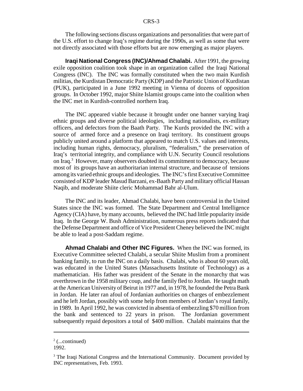The following sections discuss organizations and personalities that were part of the U.S. effort to change Iraq's regime during the 1990s, as well as some that were not directly associated with those efforts but are now emerging as major players.

**Iraqi National Congress (INC)/Ahmad Chalabi.** After 1991, the growing exile opposition coalition took shape in an organization called the Iraqi National Congress (INC). The INC was formally constituted when the two main Kurdish militias, the Kurdistan Democratic Party (KDP) and the Patriotic Union of Kurdistan (PUK), participated in a June 1992 meeting in Vienna of dozens of opposition groups. In October 1992, major Shiite Islamist groups came into the coalition when the INC met in Kurdish-controlled northern Iraq.

The INC appeared viable because it brought under one banner varying Iraqi ethnic groups and diverse political ideologies, including nationalists, ex-military officers, and defectors from the Baath Party. The Kurds provided the INC with a source of armed force and a presence on Iraqi territory. Its constituent groups publicly united around a platform that appeared to match U.S. values and interests, including human rights, democracy, pluralism, "federalism," the preservation of Iraq's territorial integrity, and compliance with U.N. Security Council resolutions on Iraq.<sup>3</sup> However, many observers doubted its commitment to democracy, because most of its groups have an authoritarian internal structure, and because of tensions among its varied ethnic groups and ideologies. The INC's first Executive Committee consisted of KDP leader Masud Barzani, ex-Baath Party and military official Hassan Naqib, and moderate Shiite cleric Mohammad Bahr al-Ulum.

The INC and its leader, Ahmad Chalabi, have been controversial in the United States since the INC was formed. The State Department and Central Intelligence Agency (CIA) have, by many accounts, believed the INC had little popularity inside Iraq. In the George W. Bush Administration, numerous press reports indicated that the Defense Department and office of Vice President Cheney believed the INC might be able to lead a post-Saddam regime.

**Ahmad Chalabi and Other INC Figures.** When the INC was formed, its Executive Committee selected Chalabi, a secular Shiite Muslim from a prominent banking family, to run the INC on a daily basis. Chalabi, who is about 60 years old, was educated in the United States (Massachusetts Institute of Technology) as a mathematician. His father was president of the Senate in the monarchy that was overthrown in the 1958 military coup, and the family fled to Jordan. He taught math at the American University of Beirut in 1977 and, in 1978, he founded the Petra Bank in Jordan. He later ran afoul of Jordanian authorities on charges of embezzlement and he left Jordan, possibly with some help from members of Jordan's royal family, in 1989. In April 1992, he was convicted in absentia of embezzling \$70 million from the bank and sentenced to 22 years in prison. The Jordanian government subsequently repaid depositors a total of \$400 million. Chalabi maintains that the

 $2$  (...continued)

<sup>1992.</sup> 

<sup>&</sup>lt;sup>3</sup> The Iraqi National Congress and the International Community. Document provided by INC representatives, Feb. 1993.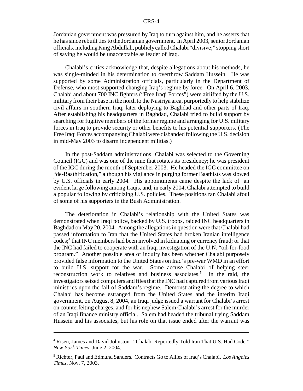Jordanian government was pressured by Iraq to turn against him, and he asserts that he has since rebuilt ties to the Jordanian government. In April 2003, senior Jordanian officials, including King Abdullah, publicly called Chalabi "divisive;" stopping short of saying he would be unacceptable as leader of Iraq.

Chalabi's critics acknowledge that, despite allegations about his methods, he was single-minded in his determination to overthrow Saddam Hussein. He was supported by some Administration officials, particularly in the Department of Defense, who most supported changing Iraq's regime by force. On April 6, 2003, Chalabi and about 700 INC fighters ("Free Iraqi Forces") were airlifted by the U.S. military from their base in the north to the Nasiriya area, purportedly to help stabilize civil affairs in southern Iraq, later deploying to Baghdad and other parts of Iraq. After establishing his headquarters in Baghdad, Chalabi tried to build support by searching for fugitive members of the former regime and arranging for U.S. military forces in Iraq to provide security or other benefits to his potential supporters. (The Free Iraqi Forces accompanying Chalabi were disbanded following the U.S. decision in mid-May 2003 to disarm independent militias.)

In the post-Saddam administrations, Chalabi was selected to the Governing Council (IGC) and was one of the nine that rotates its presidency; he was president of the IGC during the month of September 2003. He headed the IGC committee on "de-Baathification," although his vigilance in purging former Baathists was slowed by U.S. officials in early 2004. His appointments came despite the lack of an evident large following among Iraqis, and, in early 2004, Chalabi attempted to build a popular following by criticizing U.S. policies. These positions ran Chalabi afoul of some of his supporters in the Bush Administration.

The deterioration in Chalabi's relationship with the United States was demonstrated when Iraqi police, backed by U.S. troops, raided INC headquarters in Baghdad on May 20, 2004. Among the allegations in question were that Chalabi had passed information to Iran that the United States had broken Iranian intelligence codes;<sup>4</sup> that INC members had been involved in kidnaping or currency fraud; or that the INC had failed to cooperate with an Iraqi investigation of the U.N. "oil-for-food program." Another possible area of inquiry has been whether Chalabi purposely provided false information to the United States on Iraq's pre-war WMD in an effort to build U.S. support for the war. Some accuse Chalabi of helping steer reconstruction work to relatives and business associates.<sup>5</sup> In the raid, the investigators seized computers and files that the INC had captured from various Iraqi ministries upon the fall of Saddam's regime. Demonstrating the degree to which Chalabi has become estranged from the United States and the interim Iraqi government, on August 8, 2004, an Iraqi judge issued a warrant for Chalabi's arrest on counterfeiting charges, and for his nephew Salem Chalabi's arrest for the murder of an Iraqi finance ministry official. Salem had headed the tribunal trying Saddam Hussein and his associates, but his role on that issue ended after the warrant was

<sup>&</sup>lt;sup>4</sup> Risen, James and David Johnston. "Chalabi Reportedly Told Iran That U.S. Had Code." *New York Times*, June 2, 2004.

<sup>5</sup> Richter, Paul and Edmund Sanders. Contracts Go to Allies of Iraq's Chalabi. *Los Angeles Times*, Nov. 7, 2003.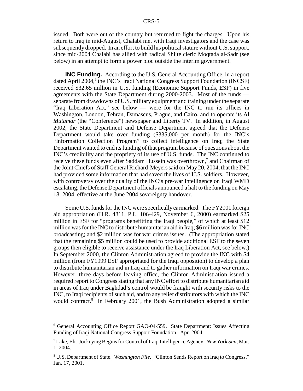issued. Both were out of the country but returned to fight the charges. Upon his return to Iraq in mid-August, Chalabi met with Iraqi investigators and the case was subsequently dropped. In an effort to build his political stature without U.S. support, since mid-2004 Chalabi has allied with radical Shiite cleric Moqtada al-Sadr (see below) in an attempt to form a power bloc outside the interim government.

**INC Funding.** According to the U.S. General Accounting Office, in a report dated April 2004,<sup>6</sup> the INC's Iraqi National Congress Support Foundation (INCSF) received \$32.65 million in U.S. funding (Economic Support Funds, ESF) in five agreements with the State Department during 2000-2003. Most of the funds separate from drawdowns of U.S. military equipment and training under the separate "Iraq Liberation Act," see below — were for the INC to run its offices in Washington, London, Tehran, Damascus, Prague, and Cairo, and to operate its Al *Mutamar* (the "Conference") newspaper and Liberty TV. In addition, in August 2002, the State Department and Defense Department agreed that the Defense Department would take over funding (\$335,000 per month) for the INC's "Information Collection Program" to collect intelligence on Iraq; the State Department wanted to end its funding of that program because of questions about the INC's credibility and the propriety of its use of U.S. funds. The INC continued to receive these funds even after Saddam Hussein was overthrown,<sup>7</sup> and Chairman of the Joint Chiefs of Staff General Richard Meyers said on May 20, 2004, that the INC had provided some information that had saved the lives of U.S. soldiers. However, with controversy over the quality of the INC's pre-war intelligence on Iraqi WMD escalating, the Defense Department officials announced a halt to the funding on May 18, 2004, effective at the June 2004 sovereignty handover.

Some U.S. funds for the INC were specifically earmarked. The FY2001 foreign aid appropriation (H.R. 4811, P.L. 106-429, November 6, 2000) earmarked \$25 million in ESF for "programs benefitting the Iraqi people," of which at least \$12 million was for the INC to distribute humanitarian aid in Iraq; \$6 million was for INC broadcasting; and \$2 million was for war crimes issues. (The appropriation stated that the remaining \$5 million could be used to provide additional ESF to the seven groups then eligible to receive assistance under the Iraq Liberation Act, see below.) In September 2000, the Clinton Administration agreed to provide the INC with \$4 million (from FY1999 ESF appropriated for the Iraqi opposition) to develop a plan to distribute humanitarian aid in Iraq and to gather information on Iraqi war crimes. However, three days before leaving office, the Clinton Administration issued a required report to Congress stating that any INC effort to distribute humanitarian aid in areas of Iraq under Baghdad's control would be fraught with security risks to the INC, to Iraqi recipients of such aid, and to any relief distributors with which the INC would contract.<sup>8</sup> In February 2001, the Bush Administration adopted a similar

<sup>6</sup> General Accounting Office Report GAO-04-559. State Department: Issues Affecting Funding of Iraqi National Congress Support Foundation. Apr. 2004.

<sup>7</sup> Lake, Eli. Jockeying Begins for Control of Iraqi Intelligence Agency. *New York Sun*, Mar. 1, 2004.

<sup>8</sup> U.S. Department of State. *Washington File*. "Clinton Sends Report on Iraq to Congress." Jan. 17, 2001.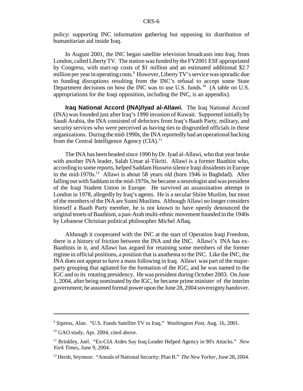policy: supporting INC information gathering but opposing its distribution of humanitarian aid inside Iraq.

In August 2001, the INC began satellite television broadcasts into Iraq, from London, called Liberty TV. The station was funded by the FY2001 ESF appropriated by Congress, with start-up costs of \$1 million and an estimated additional \$2.7 million per year in operating costs.<sup>9</sup> However, Liberty TV's service was sporadic due to funding disruptions resulting from the INC's refusal to accept some State Department decisions on how the INC was to use U.S. funds.<sup>10</sup> (A table on U.S. appropriations for the Iraqi opposition, including the INC, is an appendix).

**Iraq National Accord (INA)/Iyad al-Allawi.** The Iraq National Accord (INA) was founded just after Iraq's 1990 invasion of Kuwait. Supported initially by Saudi Arabia, the INA consisted of defectors from Iraq's Baath Party, military, and security services who were perceived as having ties to disgruntled officials in those organizations. During the mid-1990s, the INA reportedly had an operational backing from the Central Intelligence Agency  $(CIA)^{11}$ .

The INA has been headed since 1990 by Dr. Iyad al-Allawi, who that year broke with another INA leader, Salah Umar al-Tikriti. Allawi is a former Baathist who, according to some reports, helped Saddam Hussein silence Iraqi dissidents in Europe in the mid-1970s.<sup>12</sup> Allawi is about 58 years old (born 1946 in Baghdad). After falling out with Saddam in the mid-1970s, he became a neurologist and was president of the Iraqi Student Union in Europe. He survived an assassination attempt in London in 1978, allegedly by Iraq's agents. He is a secular Shiite Muslim, but most of the members of the INA are Sunni Muslims. Although Allawi no longer considers himself a Baath Party member, he is not known to have openly denounced the original tenets of Baathism, a pan-Arab multi-ethnic movement founded in the 1940s by Lebanese Christian political philosopher Michel Aflaq.

Although it cooperated with the INC at the start of Operation Iraqi Freedom, there is a history of friction between the INA and the INC. Allawi's INA has ex-Baathists in it, and Allawi has argued for retaining some members of the former regime in official positions, a position that is anathema to the INC. Like the INC, the INA does not appear to have a mass following in Iraq. Allawi was part of the majorparty grouping that agitated for the formation of the IGC, and he was named to the IGC and to its rotating presidency. He was president during October 2003. On June 1, 2004, after being nominated by the IGC, he became prime minister of the interim government; he assumed formal power upon the June 28, 2004 sovereignty handover.

<sup>9</sup> Sipress, Alan. "U.S. Funds Satellite TV to Iraq." *Washington Post*, Aug. 16, 2001.

<sup>&</sup>lt;sup>10</sup> GAO study, Apr. 2004, cited above.

<sup>11</sup> Brinkley, Joel. "Ex-CIA Aides Say Iraq Leader Helped Agency in 90's Attacks." *New York Times*, June 9, 2004.

<sup>12</sup> Hersh, Seymour. "Annals of National Security: Plan B." *The New Yorker*, June 28, 2004.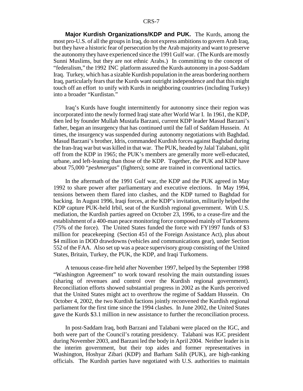**Major Kurdish Organizations/KDP and PUK.** The Kurds, among the most pro-U.S. of all the groups in Iraq, do not express ambitions to govern Arab Iraq, but they have a historic fear of persecution by the Arab majority and want to preserve the autonomy they have experienced since the 1991 Gulf war. (The Kurds are mostly Sunni Muslims, but they are not ethnic Arabs.) In committing to the concept of "federalism," the 1992 INC platform assured the Kurds autonomy in a post-Saddam Iraq. Turkey, which has a sizable Kurdish population in the areas bordering northern Iraq, particularly fears that the Kurds want outright independence and that this might touch off an effort to unify with Kurds in neighboring countries (including Turkey) into a broader "Kurdistan."

Iraq's Kurds have fought intermittently for autonomy since their region was incorporated into the newly formed Iraqi state after World War I. In 1961, the KDP, then led by founder Mullah Mustafa Barzani, current KDP leader Masud Barzani's father, began an insurgency that has continued until the fall of Saddam Hussein. At times, the insurgency was suspended during autonomy negotiations with Baghdad. Masud Barzani's brother, Idris, commanded Kurdish forces against Baghdad during the Iran-Iraq war but was killed in that war. The PUK, headed by Jalal Talabani, split off from the KDP in 1965; the PUK's members are generally more well-educated, urbane, and left-leaning than those of the KDP. Together, the PUK and KDP have about 75,000 "*peshmergas*" (fighters); some are trained in conventional tactics.

In the aftermath of the 1991 Gulf war, the KDP and the PUK agreed in May 1992 to share power after parliamentary and executive elections. In May 1994, tensions between them flared into clashes, and the KDP turned to Baghdad for backing. In August 1996, Iraqi forces, at the KDP's invitation, militarily helped the KDP capture PUK-held Irbil, seat of the Kurdish regional government. With U.S. mediation, the Kurdish parties agreed on October 23, 1996, to a cease-fire and the establishment of a 400-man peace monitoring force composed mainly of Turkomens (75% of the force). The United States funded the force with FY1997 funds of \$3 million for peacekeeping (Section 451 of the Foreign Assistance Act), plus about \$4 million in DOD drawdowns (vehicles and communications gear), under Section 552 of the FAA. Also set up was a peace supervisory group consisting of the United States, Britain, Turkey, the PUK, the KDP, and Iraqi Turkomens.

A tenuous cease-fire held after November 1997, helped by the September 1998 "Washington Agreement" to work toward resolving the main outstanding issues (sharing of revenues and control over the Kurdish regional government). Reconciliation efforts showed substantial progress in 2002 as the Kurds perceived that the United States might act to overthrow the regime of Saddam Hussein. On October 4, 2002, the two Kurdish factions jointly reconvened the Kurdish regional parliament for the first time since the 1994 clashes. In June 2002, the United States gave the Kurds \$3.1 million in new assistance to further the reconciliation process.

In post-Saddam Iraq, both Barzani and Talabani were placed on the IGC, and both were part of the Council's rotating presidency. Talabani was IGC president during November 2003, and Barzani led the body in April 2004. Neither leader is in the interim government, but their top aides and former representatives in Washington, Hoshyar Zibari (KDP) and Barham Salih (PUK), are high-ranking officials. The Kurdish parties have negotiated with U.S. authorities to maintain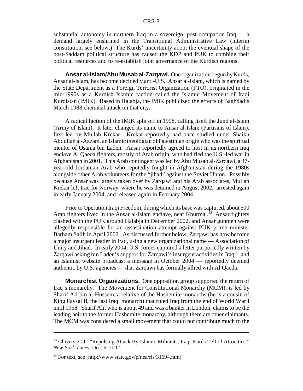substantial autonomy in northern Iraq in a sovereign, post-occupation Iraq — a demand largely enshrined in the Transitional Administrative Law (interim constitution, see below.) The Kurds' uncertainty about the eventual shape of the post-Saddam political structure has caused the KDP and PUK to combine their political resources and to re-establish joint governance of the Kurdish regions.

**Ansar al-Islam/Abu Musab al-Zarqawi.** One organization begun by Kurds, Ansar al-Islam, has become decidedly anti-U.S. Ansar al-Islam, which is named by the State Department as a Foreign Terrorist Organization (FTO), originated in the mid-1990s as a Kurdish Islamic faction called the Islamic Movement of Iraqi Kurdistan (IMIK). Based in Halabja, the IMIK publicized the effects of Baghdad's March 1988 chemical attack on that city.

A radical faction of the IMIK split off in 1998, calling itself the Jund al-Islam (Army of Islam). It later changed its name to Ansar al-Islam (Partisans of Islam), first led by Mullah Krekar. Krekar reportedly had once studied under Shaikh Abdullah al-Azzam, an Islamic theologian of Palestinian origin who was the spiritual mentor of Osama bin Laden. Ansar reportedly agreed to host in its northern Iraq enclave Al Qaeda fighters, mostly of Arab origin, who had fled the U.S.-led war in Afghanistan in 2001. This Arab contingent was led by Abu Musab al-Zarqawi, a 37 year-old Jordanian Arab who reputedly fought in Afghanistan during the 1980s alongside other Arab volunteers for the "jihad" against the Soviet Union. Possibly because Ansar was largely taken over by Zarqawi and his Arab associates, Mullah Krekar left Iraq for Norway, where he was detained in August 2002, arrested again in early January 2004, and released again in February 2004.

Prior to Operation Iraqi Freedom, during which its base was captured, about 600 Arab fighters lived in the Ansar al-Islam enclave, near Khurmal.<sup>13</sup> Ansar fighters clashed with the PUK around Halabja in December 2002, and Ansar gunmen were allegedly responsible for an assassination attempt against PUK prime minister Barham Salih in April 2002. As discussed further below, Zarqawi has now become a major insurgent leader in Iraq, using a new organizational name — Association of Unity and Jihad. In early 2004, U.S. forces captured a letter purportedly written by Zargawi asking bin Laden's support for Zargawi's insurgent activities in Iraq, <sup>14</sup> and an Islamist website broadcast a message in October 2004 — reportedly deemed authentic by U.S. agencies — that Zarqawi has formally allied with Al Qaeda.

**Monarchist Organizations.** One opposition group supported the return of Iraq's monarchy. The Movement for Constitutional Monarchy (MCM), is led by Sharif Ali bin al-Hussein, a relative of the Hashemite monarchs (he is a cousin of King Faysal II, the last Iraqi monarch) that ruled Iraq from the end of World War I until 1958. Sharif Ali, who is about 49 and was a banker in London, claims to be the leading heir to the former Hashemite monarchy, although there are other claimants. The MCM was considered a small movement that could not contribute much to the

<sup>&</sup>lt;sup>13</sup> Chivers, C.J. "Repulsing Attack By Islamic Militants, Iraqi Kurds Tell of Atrocities." *New York Times*, Dec. 6, 2002.

<sup>&</sup>lt;sup>14</sup> For text, see [http://www.state.gov/p/nea/rls/31694.htm]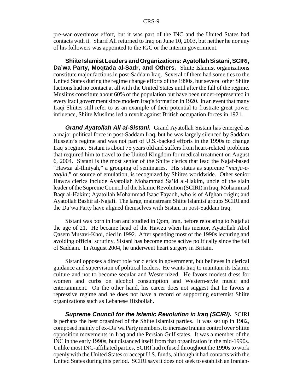pre-war overthrow effort, but it was part of the INC and the United States had contacts with it. Sharif Ali returned to Iraq on June 10, 2003, but neither he nor any of his followers was appointed to the IGC or the interim government.

**Shiite Islamist Leaders and Organizations: Ayatollah Sistani, SCIRI, Da'wa Party, Moqtada al-Sadr, and Others.** Shiite Islamist organizations constitute major factions in post-Saddam Iraq. Several of them had some ties to the United States during the regime change efforts of the 1990s, but several other Shiite factions had no contact at all with the United States until after the fall of the regime. Muslims constitute about 60% of the population but have been under-represented in every Iraqi government since modern Iraq's formation in 1920. In an event that many Iraqi Shiites still refer to as an example of their potential to frustrate great power influence, Shiite Muslims led a revolt against British occupation forces in 1921.

*Grand Ayatollah Ali al-Sistani.* Grand Ayatollah Sistani has emerged as a major political force in post-Saddam Iraq, but he was largely silenced by Saddam Hussein's regime and was not part of U.S.-backed efforts in the 1990s to change Iraq's regime. Sistani is about 75 years old and suffers from heart-related problems that required him to travel to the United Kingdom for medical treatment on August 6, 2004. Sistani is the most senior of the Shiite clerics that lead the Najaf-based "Hawza al-Ilmiyah," a grouping of seminaries. His status as supreme "*marja-etaqlid*," or source of emulation, is recognized by Shiites worldwide. Other senior Hawza clerics include Ayatollah Mohammad Sa'id al-Hakim, uncle of the slain leader of the Supreme Council of the Islamic Revolution (SCIRI) in Iraq, Mohammad Baqr al-Hakim; Ayatollah Mohammad Isaac Fayadh, who is of Afghan origin; and Ayatollah Bashir al-Najafi. The large, mainstream Shiite Islamist groups SCIRI and the Da'wa Party have aligned themselves with Sistani in post-Saddam Iraq.

Sistani was born in Iran and studied in Qom, Iran, before relocating to Najaf at the age of 21. He became head of the Hawza when his mentor, Ayatollah Abol Qasem Musavi-Khoi, died in 1992. After spending most of the 1990s lecturing and avoiding official scrutiny, Sistani has become more active politically since the fall of Saddam. In August 2004, he underwent heart surgery in Britain.

Sistani opposes a direct role for clerics in government, but believes in clerical guidance and supervision of political leaders. He wants Iraq to maintain its Islamic culture and not to become secular and Westernized. He favors modest dress for women and curbs on alcohol consumption and Western-style music and entertainment. On the other hand, his career does not suggest that he favors a repressive regime and he does not have a record of supporting extremist Shiite organizations such as Lebanese Hizbollah.

*Supreme Council for the Islamic Revolution in Iraq (SCIRI).* SCIRI is perhaps the best organized of the Shiite Islamist parties. It was set up in 1982, composed mainly of ex-Da'wa Party members, to increase Iranian control over Shiite opposition movements in Iraq and the Persian Gulf states. It was a member of the INC in the early 1990s, but distanced itself from that organization in the mid-1990s. Unlike most INC-affiliated parties, SCIRI had refused throughout the 1990s to work openly with the United States or accept U.S. funds, although it had contacts with the United States during this period. SCIRI says it does not seek to establish an Iranian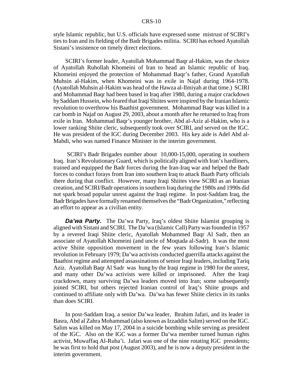style Islamic republic, but U.S. officials have expressed some mistrust of SCIRI's ties to Iran and its fielding of the Badr Brigades militia. SCIRI has echoed Ayatollah Sistani's insistence on timely direct elections.

SCIRI's former leader, Ayatollah Mohammad Baqr al-Hakim, was the choice of Ayatollah Ruhollah Khomeini of Iran to head an Islamic republic of Iraq. Khomeini enjoyed the protection of Mohammad Baqr's father, Grand Ayatollah Muhsin al-Hakim, when Khomeini was in exile in Najaf during 1964-1978. (Ayatollah Muhsin al-Hakim was head of the Hawza al-Ilmiyah at that time.) SCIRI and Mohammad Baqr had been based in Iraq after 1980, during a major crackdown by Saddam Hussein, who feared that Iraqi Shiites were inspired by the Iranian Islamic revolution to overthrow his Baathist government. Mohammad Baqr was killed in a car bomb in Najaf on August 29, 2003, about a month after he returned to Iraq from exile in Iran. Mohammad Baqr's younger brother, Abd al-Aziz al-Hakim, who is a lower ranking Shiite cleric, subsequently took over SCIRI, and served on the IGC. He was president of the IGC during December 2003. His key aide is Adel Abd al-Mahdi, who was named Finance Minister in the interim government.

 SCIRI's Badr Brigades number about 10,000-15,000, operating in southern Iraq. Iran's Revolutionary Guard, which is politically aligned with Iran's hardliners, trained and equipped the Badr forces during the Iran-Iraq war and helped the Badr forces to conduct forays from Iran into southern Iraq to attack Baath Party officials there during that conflict. However, many Iraqi Shiites view SCIRI as an Iranian creation, and SCIRI/Badr operations in southern Iraq during the 1980s and 1990s did not spark broad popular unrest against the Iraqi regime. In post-Saddam Iraq, the Badr Brigades have formally renamed themselves the "Badr Organization," reflecting an effort to appear as a civilian entity.

**Da'wa Party.** The Da'wa Party, Iraq's oldest Shiite Islamist grouping is aligned with Sistani and SCIRI. The Da'wa (Islamic Call) Party was founded in 1957 by a revered Iraqi Shiite cleric, Ayatollah Mohammed Baqr Al Sadr, then an associate of Ayatollah Khomeini (and uncle of Moqtada al-Sadr). It was the most active Shiite opposition movement in the few years following Iran's Islamic revolution in February 1979; Da'wa activists conducted guerrilla attacks against the Baathist regime and attempted assassinations of senior Iraqi leaders, including Tariq Aziz. Ayatollah Baqr Al Sadr was hung by the Iraqi regime in 1980 for the unrest, and many other Da'wa activists were killed or imprisoned. After the Iraqi crackdown, many surviving Da'wa leaders moved into Iran; some subsequently joined SCIRI, but others rejected Iranian control of Iraq's Shiite groups and continued to affiliate only with Da'wa. Da'wa has fewer Shiite clerics in its ranks than does SCIRI.

In post-Saddam Iraq, a senior Da'wa leader, Ibrahim Jafari, and its leader in Basra, Abd al Zahra Mohammad (also known as Izzaddin Salim) served on the IGC. Salim was killed on May 17, 2004 in a suicide bombing while serving as president of the IGC. Also on the IGC was a former Da'wa member turned human rights activist, Muwaffaq Al-Ruba'i. Jafari was one of the nine rotating IGC presidents; he was first to hold that post (August 2003), and he is now a deputy president in the interim government.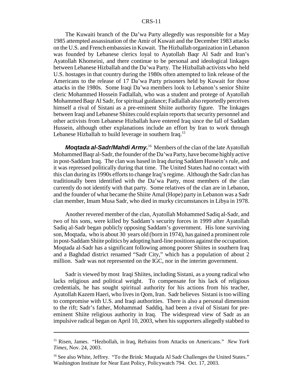The Kuwaiti branch of the Da'wa Party allegedly was responsible for a May 1985 attempted assassination of the Amir of Kuwait and the December 1983 attacks on the U.S. and French embassies in Kuwait. The Hizballah organization in Lebanon was founded by Lebanese clerics loyal to Ayatollah Baqr Al Sadr and Iran's Ayatollah Khomeini, and there continue to be personal and ideological linkages between Lebanese Hizballah and the Da'wa Party. The Hizballah activists who held U.S. hostages in that country during the 1980s often attempted to link release of the Americans to the release of 17 Da'wa Party prisoners held by Kuwait for those attacks in the 1980s. Some Iraqi Da'wa members look to Lebanon's senior Shiite cleric Mohammed Hossein Fadlallah, who was a student and protege of Ayatollah Mohammed Baqr Al Sadr, for spiritual guidance; Fadlallah also reportedly perceives himself a rival of Sistani as a pre-eminent Shiite authority figure. The linkages between Iraqi and Lebanese Shiites could explain reports that security personnel and other activists from Lebanese Hizballah have entered Iraq since the fall of Saddam Hussein, although other explanations include an effort by Iran to work through Lebanese Hizballah to build leverage in southern Iraq.<sup>15</sup>

*Moqtada al-Sadr/Mahdi Army.*16 Members of the clan of the late Ayatollah Mohammed Baqr al-Sadr, the founder of the Da'wa Party, have become highly active in post-Saddam Iraq. The clan was based in Iraq during Saddam Hussein's rule, and it was repressed politically during that time. The United States had no contact with this clan during its 1990s efforts to change Iraq's regime. Although the Sadr clan has traditionally been identified with the Da'wa Party, most members of the clan currently do not identify with that party. Some relatives of the clan are in Lebanon, and the founder of what became the Shiite Amal (Hope) party in Lebanon was a Sadr clan member, Imam Musa Sadr, who died in murky circumstances in Libya in 1978.

Another revered member of the clan, Ayatollah Mohammed Sadiq al-Sadr, and two of his sons, were killed by Saddam's security forces in 1999 after Ayatollah Sadiq al-Sadr began publicly opposing Saddam's government. His lone surviving son, Moqtada, who is about 30 years old (born in 1974), has gained a prominent role in post-Saddam Shiite politics by adopting hard-line positions against the occupation. Moqtada al-Sadr has a significant following among poorer Shiites in southern Iraq and a Baghdad district renamed "Sadr City," which has a population of about 2 million. Sadr was not represented on the IGC, nor in the interim government.

Sadr is viewed by most Iraqi Shiites, including Sistani, as a young radical who lacks religious and political weight. To compensate for his lack of religious credentials, he has sought spiritual authority for his actions from his teacher, Ayatollah Kazem Haeri, who lives in Qom, Iran. Sadr believes Sistani is too willing to compromise with U.S. and Iraqi authorities. There is also a personal dimension to the rift; Sadr's father, Mohammad Saddiq, had been a rival of Sistani for preeminent Shiite religious authority in Iraq. The widespread view of Sadr as an impulsive radical began on April 10, 2003, when his supporters allegedly stabbed to

<sup>15</sup> Risen, James. "Hezbollah, in Iraq, Refrains from Attacks on Americans." *New York Times*, Nov. 24, 2003.

<sup>&</sup>lt;sup>16</sup> See also White, Jeffrey. "To the Brink: Mugtada Al Sadr Challenges the United States." Washington Institute for Near East Policy, Policywatch 794. Oct. 17, 2003.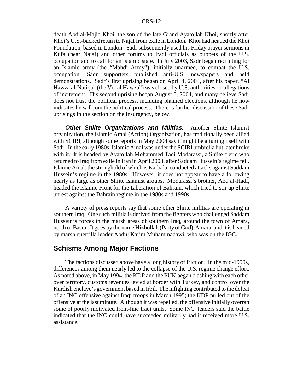death Abd al-Majid Khoi, the son of the late Grand Ayatollah Khoi, shortly after Khoi's U.S.-backed return to Najaf from exile in London. Khoi had headed the Khoi Foundation, based in London. Sadr subsequently used his Friday prayer sermons in Kufa (near Najaf) and other forums to Iraqi officials as puppets of the U.S. occupation and to call for an Islamic state. In July 2003, Sadr began recruiting for an Islamic army (the "Mahdi Army"), initially unarmed, to combat the U.S. occupation. Sadr supporters published anti-U.S. newspapers and held demonstrations. Sadr's first uprising began on April 4, 2004, after his paper, "Al Hawza al-Natiqa" (the Vocal Hawza") was closed by U.S. authorities on allegations of incitement. His second uprising began August 5, 2004, and many believe Sadr does not trust the political process, including planned elections, although he now indicates he will join the political process. There is further discussion of these Sadr uprisings in the section on the insurgency, below.

*Other Shiite Organizations and Militias.* Another Shiite Islamist organization, the Islamic Amal (Action) Organization, has traditionally been allied with SCIRI, although some reports in May 2004 say it might be aligning itself with Sadr. In the early 1980s, Islamic Amal was under the SCIRI umbrella but later broke with it. It is headed by Ayatollah Mohammed Taqi Modarassi, a Shiite cleric who returned to Iraq from exile in Iran in April 2003, after Saddam Hussein's regime fell. Islamic Amal, the stronghold of which is Karbala, conducted attacks against Saddam Hussein's regime in the 1980s. However, it does not appear to have a following nearly as large as other Shiite Islamist groups. Modarassi's brother, Abd al-Hadi, headed the Islamic Front for the Liberation of Bahrain, which tried to stir up Shiite unrest against the Bahrain regime in the 1980s and 1990s.

A variety of press reports say that some other Shiite militias are operating in southern Iraq. One such militia is derived from the fighters who challenged Saddam Hussein's forces in the marsh areas of southern Iraq, around the town of Amara, north of Basra. It goes by the name Hizbollah (Party of God)-Amara, and it is headed by marsh guerrilla leader Abdul Karim Muhammadawi, who was on the IGC.

#### **Schisms Among Major Factions**

The factions discussed above have a long history of friction. In the mid-1990s, differences among them nearly led to the collapse of the U.S. regime change effort. As noted above, in May 1994, the KDP and the PUK began clashing with each other over territory, customs revenues levied at border with Turkey, and control over the Kurdish enclave's government based in Irbil. The infighting contributed to the defeat of an INC offensive against Iraqi troops in March 1995; the KDP pulled out of the offensive at the last minute. Although it was repelled, the offensive initially overran some of poorly motivated front-line Iraqi units. Some INC leaders said the battle indicated that the INC could have succeeded militarily had it received more U.S. assistance.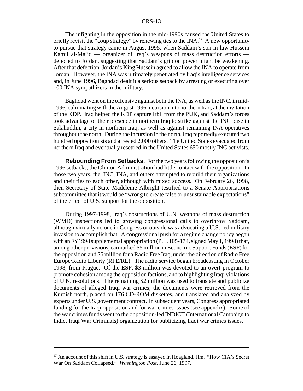The infighting in the opposition in the mid-1990s caused the United States to briefly revisit the "coup strategy" by renewing ties to the  $[NA$ .<sup>17</sup> A new opportunity to pursue that strategy came in August 1995, when Saddam's son-in-law Hussein Kamil al-Majid — organizer of Iraq's weapons of mass destruction efforts defected to Jordan, suggesting that Saddam's grip on power might be weakening. After that defection, Jordan's King Hussein agreed to allow the INA to operate from Jordan. However, the INA was ultimately penetrated by Iraq's intelligence services and, in June 1996, Baghdad dealt it a serious setback by arresting or executing over 100 INA sympathizers in the military.

Baghdad went on the offensive against both the INA, as well as the INC, in mid-1996, culminating with the August 1996 incursion into northern Iraq, at the invitation of the KDP. Iraq helped the KDP capture Irbil from the PUK, and Saddam's forces took advantage of their presence in northern Iraq to strike against the INC base in Salahuddin, a city in northern Iraq, as well as against remaining INA operatives throughout the north. During the incursion in the north, Iraq reportedly executed two hundred oppositionists and arrested 2,000 others. The United States evacuated from northern Iraq and eventually resettled in the United States 650 mostly INC activists.

**Rebounding From Setbacks.** For the two years following the opposition's 1996 setbacks, the Clinton Administration had little contact with the opposition. In those two years, the INC, INA, and others attempted to rebuild their organizations and their ties to each other, although with mixed success. On February 26, 1998, then Secretary of State Madeleine Albright testified to a Senate Appropriations subcommittee that it would be "wrong to create false or unsustainable expectations" of the effect of U.S. support for the opposition.

During 1997-1998, Iraq's obstructions of U.N. weapons of mass destruction (WMD) inspections led to growing congressional calls to overthrow Saddam, although virtually no one in Congress or outside was advocating a U.S.-led military invasion to accomplish that. A congressional push for a regime change policy began with an FY1998 supplemental appropriation (P.L. 105-174, signed May 1, 1998) that, among other provisions, earmarked \$5 million in Economic Support Funds (ESF) for the opposition and \$5 million for a Radio Free Iraq, under the direction of Radio Free Europe/Radio Liberty (RFE/RL). The radio service began broadcasting in October 1998, from Prague. Of the ESF, \$3 million was devoted to an overt program to promote cohesion among the opposition factions, and to highlighting Iraqi violations of U.N. resolutions. The remaining \$2 million was used to translate and publicize documents of alleged Iraqi war crimes; the documents were retrieved from the Kurdish north, placed on 176 CD-ROM diskettes, and translated and analyzed by experts under U.S. government contract. In subsequent years, Congress appropriated funding for the Iraqi opposition and for war crimes issues (see appendix). Some of the war crimes funds went to the opposition-led INDICT (International Campaign to Indict Iraqi War Criminals) organization for publicizing Iraqi war crimes issues.

 $17$  An account of this shift in U.S. strategy is essayed in Hoagland, Jim. "How CIA's Secret War On Saddam Collapsed." *Washington Post*, June 26, 1997.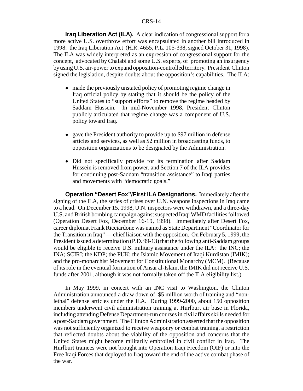**Iraq Liberation Act (ILA).** A clear indication of congressional support for a more active U.S. overthrow effort was encapsulated in another bill introduced in 1998: the Iraq Liberation Act (H.R. 4655, P.L. 105-338, signed October 31, 1998). The ILA was widely interpreted as an expression of congressional support for the concept, advocated by Chalabi and some U.S. experts, of promoting an insurgency by using U.S. air-power to expand opposition-controlled territory. President Clinton signed the legislation, despite doubts about the opposition's capabilities. The ILA:

- made the previously unstated policy of promoting regime change in Iraq official policy by stating that it should be the policy of the United States to "support efforts" to remove the regime headed by Saddam Hussein. In mid-November 1998, President Clinton publicly articulated that regime change was a component of U.S. policy toward Iraq.
- gave the President authority to provide up to \$97 million in defense articles and services, as well as \$2 million in broadcasting funds, to opposition organizations to be designated by the Administration.
- Did not specifically provide for its termination after Saddam Hussein is removed from power, and Section 7 of the ILA provides for continuing post-Saddam "transition assistance" to Iraqi parties and movements with "democratic goals."

**Operation "Desert Fox"/First ILA Designations.** Immediately after the signing of the ILA, the series of crises over U.N. weapons inspections in Iraq came to a head. On December 15, 1998, U.N. inspectors were withdrawn, and a three-day U.S. and British bombing campaign against suspected Iraqi WMD facilities followed (Operation Desert Fox, December 16-19, 1998). Immediately after Desert Fox, career diplomat Frank Ricciardone was named as State Department "Coordinator for the Transition in Iraq" — chief liaison with the opposition. On February 5, 1999, the President issued a determination (P.D. 99-13) that the following anti-Saddam groups would be eligible to receive U.S. military assistance under the ILA: the INC; the INA; SCIRI; the KDP; the PUK; the Islamic Movement of Iraqi Kurdistan (IMIK); and the pro-monarchist Movement for Constitutional Monarchy (MCM). (Because of its role in the eventual formation of Ansar al-Islam, the IMIK did not receive U.S. funds after 2001, although it was not formally taken off the ILA eligibility list.)

In May 1999, in concert with an INC visit to Washington, the Clinton Administration announced a draw down of \$5 million worth of training and "nonlethal" defense articles under the ILA. During 1999-2000, about 150 opposition members underwent civil administration training at Hurlburt air base in Florida, including attending Defense Department-run courses in civil affairs skills needed for a post-Saddam government. The Clinton Administration asserted that the opposition was not sufficiently organized to receive weaponry or combat training, a restriction that reflected doubts about the viability of the opposition and concerns that the United States might become militarily embroiled in civil conflict in Iraq. The Hurlburt trainees were not brought into Operation Iraqi Freedom (OIF) or into the Free Iraqi Forces that deployed to Iraq toward the end of the active combat phase of the war.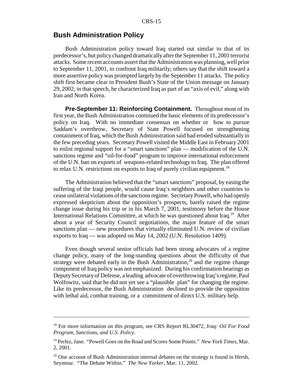### **Bush Administration Policy**

Bush Administration policy toward Iraq started out similar to that of its predecessor's, but policy changed dramatically after the September 11, 2001 terrorist attacks. Some recent accounts assert that the Administration was planning, well prior to September 11, 2001, to confront Iraq militarily; others say that the shift toward a more assertive policy was prompted largely by the September 11 attacks. The policy shift first became clear in President Bush's State of the Union message on January 29, 2002; in that speech, he characterized Iraq as part of an "axis of evil," along with Iran and North Korea.

**Pre-September 11: Reinforcing Containment.** Throughout most of its first year, the Bush Administration continued the basic elements of its predecessor's policy on Iraq. With no immediate consensus on whether or how to pursue Saddam's overthrow, Secretary of State Powell focused on strengthening containment of Iraq, which the Bush Administration said had eroded substantially in the few preceding years. Secretary Powell visited the Middle East in February 2001 to enlist regional support for a "smart sanctions" plan — modification of the U.N. sanctions regime and "oil-for-food" program to improve international enforcement of the U.N. ban on exports of weapons-related technology to Iraq. The plan offered to relax U.N. restrictions on exports to Iraq of purely civilian equipment.<sup>18</sup>

The Administration believed that the "smart sanctions" proposal, by easing the suffering of the Iraqi people, would cause Iraq's neighbors and other countries to cease unilateral violations of the sanctions regime. Secretary Powell, who had openly expressed skepticism about the opposition's prospects, barely raised the regime change issue during his trip or in his March 7, 2001, testimony before the House International Relations Committee, at which he was questioned about Iraq.19 After about a year of Security Council negotiations, the major feature of the smart sanctions plan — new procedures that virtually eliminated U.N. review of civilian exports to Iraq — was adopted on May 14, 2002 (U.N. Resolution 1409).

Even though several senior officials had been strong advocates of a regime change policy, many of the long-standing questions about the difficulty of that strategy were debated early in the Bush Administration, $2<sup>0</sup>$  and the regime change component of Iraq policy was not emphasized. During his confirmation hearings as Deputy Secretary of Defense, a leading advocate of overthrowing Iraq's regime, Paul Wolfowitz, said that he did not yet see a "plausible plan" for changing the regime. Like its predecessor, the Bush Administration declined to provide the opposition with lethal aid, combat training, or a commitment of direct U.S. military help.

<sup>18</sup> For more information on this program, see CRS Report RL30472, *Iraq: Oil For Food Program, Sanctions, and U.S. Policy*.

<sup>19</sup> Perlez, Jane. "Powell Goes on the Road and Scores Some Points." *New York Times*, Mar. 2, 2001.

 $20$  One account of Bush Administration internal debates on the strategy is found in Hersh, Seymour. "The Debate Within." *The New Yorker*, Mar. 11, 2002.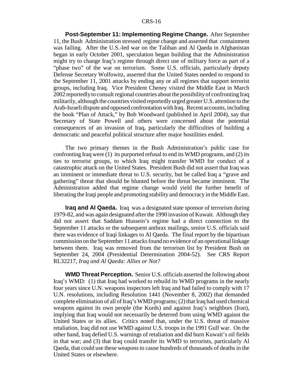**Post-September 11: Implementing Regime Change.** After September 11, the Bush Administration stressed regime change and asserted that containment was failing. After the U.S.-led war on the Taliban and Al Qaeda in Afghanistan began in early October 2001, speculation began building that the Administration might try to change Iraq's regime through direct use of military force as part of a "phase two" of the war on terrorism. Some U.S. officials, particularly deputy Defense Secretary Wolfowitz, asserted that the United States needed to respond to the September 11, 2001 attacks by ending any or all regimes that support terrorist groups, including Iraq. Vice President Cheney visited the Middle East in March 2002 reportedly to consult regional countries about the possibility of confronting Iraq militarily, although the countries visited reportedly urged greater U.S. attention to the Arab-Israeli dispute and opposed confrontation with Iraq. Recent accounts, including the book "Plan of Attack," by Bob Woodward (published in April 2004), say that Secretary of State Powell and others were concerned about the potential consequences of an invasion of Iraq, particularly the difficulties of building a democratic and peaceful political structure after major hostilities ended.

The two primary themes in the Bush Administration's public case for confronting Iraq were (1) its purported refusal to end its WMD programs, and (2) its ties to terrorist groups, to which Iraq might transfer WMD for conduct of a catastrophic attack on the United States. President Bush did not assert that Iraq was an imminent or immediate threat to U.S. security, but he called Iraq a "grave and gathering" threat that should be blunted before the threat became imminent. The Administration added that regime change would yield the further benefit of liberating the Iraqi people and promoting stability and democracy in the Middle East.

**Iraq and Al Qaeda.** Iraq was a designated state sponsor of terrorism during 1979-82, and was again designated after the 1990 invasion of Kuwait. Although they did not assert that Saddam Hussein's regime had a direct connection to the September 11 attacks or the subsequent anthrax mailings, senior U.S. officials said there was evidence of Iraqi linkages to Al Qaeda. The final report by the bipartisan commission on the September 11 attacks found no evidence of an operational linkage between them. Iraq was removed from the terrorism list by President Bush on September 24, 2004 (Presidential Determination 2004-52). See CRS Report RL32217, *Iraq and Al Qaeda: Allies or Not?*

**WMD Threat Perception.** Senior U.S. officials asserted the following about Iraq's WMD: (1) that Iraq had worked to rebuild its WMD programs in the nearly four years since U.N. weapons inspectors left Iraq and had failed to comply with 17 U.N. resolutions, including Resolution 1441 (November 8, 2002) that demanded complete elimination of all of Iraq's WMD programs; (2) that Iraq had used chemical weapons against its own people (the Kurds) and against Iraq's neighbors (Iran), implying that Iraq would not necessarily be deterred from using WMD against the United States or its allies. Critics noted that, under the U.S. threat of massive retaliation, Iraq did not use WMD against U.S. troops in the 1991 Gulf war. On the other hand, Iraq defied U.S. warnings of retaliation and did burn Kuwait's oil fields in that war; and (3) that Iraq could transfer its WMD to terrorists, particularly Al Qaeda, that could use these weapons to cause hundreds of thousands of deaths in the United States or elsewhere.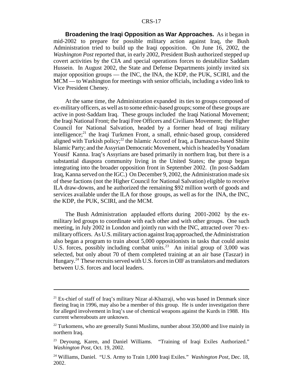**Broadening the Iraqi Opposition as War Approaches.** As it began in mid-2002 to prepare for possible military action against Iraq, the Bush Administration tried to build up the Iraqi opposition. On June 16, 2002, the *Washington Post* reported that, in early 2002, President Bush authorized stepped up covert activities by the CIA and special operations forces to destabilize Saddam Hussein. In August 2002, the State and Defense Departments jointly invited six major opposition groups — the INC, the INA, the KDP, the PUK, SCIRI, and the MCM — to Washington for meetings with senior officials, including a video link to Vice President Cheney.

At the same time, the Administration expanded its ties to groups composed of ex-military officers, as well as to some ethnic-based groups; some of these groups are active in post-Saddam Iraq. These groups included the Iraqi National Movement; the Iraqi National Front; the Iraqi Free Officers and Civilians Movement; the Higher Council for National Salvation, headed by a former head of Iraqi military intelligence; $^{21}$  the Iraqi Turkmen Front, a small, ethnic-based group, considered aligned with Turkish policy; $^{22}$  the Islamic Accord of Iraq, a Damascus-based Shiite Islamic Party; and the Assyrian Democratic Movement, which is headed by Yonadam Yousif Kanna. Iraq's Assyrians are based primarily in northern Iraq, but there is a substantial diaspora community living in the United States; the group began integrating into the broader opposition front in September 2002. (In post-Saddam Iraq, Kanna served on the IGC.) On December 9, 2002, the Administration made six of these factions (not the Higher Council for National Salvation) eligible to receive ILA draw-downs, and he authorized the remaining \$92 million worth of goods and services available under the ILA for those groups, as well as for the INA, the INC, the KDP, the PUK, SCIRI, and the MCM.

The Bush Administration applauded efforts during 2001-2002 by the exmilitary led groups to coordinate with each other and with other groups. One such meeting, in July 2002 in London and jointly run with the INC, attracted over 70 exmilitary officers. As U.S. military action against Iraq approached, the Administration also began a program to train about 5,000 oppositionists in tasks that could assist U.S. forces, possibly including combat units.<sup>23</sup> An initial group of 3,000 was selected, but only about 70 of them completed training at an air base (Taszar) in Hungary.24 These recruits served with U.S. forces in OIF as translators and mediators between U.S. forces and local leaders.

<sup>&</sup>lt;sup>21</sup> Ex-chief of staff of Iraq's military Nizar al-Khazraji, who was based in Denmark since fleeing Iraq in 1996, may also be a member of this group. He is under investigation there for alleged involvement in Iraq's use of chemical weapons against the Kurds in 1988. His current whereabouts are unknown.

<sup>&</sup>lt;sup>22</sup> Turkomens, who are generally Sunni Muslims, number about 350,000 and live mainly in northern Iraq.

<sup>&</sup>lt;sup>23</sup> Deyoung, Karen, and Daniel Williams. "Training of Iraqi Exiles Authorized." *Washington Post*, Oct. 19, 2002.

<sup>24</sup> Williams, Daniel. "U.S. Army to Train 1,000 Iraqi Exiles." *Washington Post*, Dec. 18, 2002.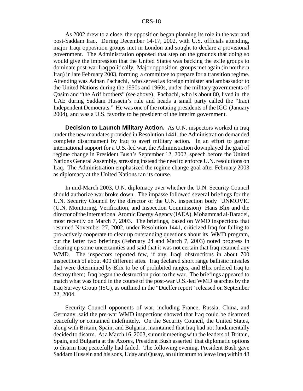As 2002 drew to a close, the opposition began planning its role in the war and post-Saddam Iraq. During December 14-17, 2002, with U.S. officials attending, major Iraqi opposition groups met in London and sought to declare a provisional government. The Administration opposed that step on the grounds that doing so would give the impression that the United States was backing the exile groups to dominate post-war Iraq politically. Major opposition groups met again (in northern Iraq) in late February 2003, forming a committee to prepare for a transition regime. Attending was Adnan Pachachi, who served as foreign minister and ambassador to the United Nations during the 1950s and 1960s, under the military governments of Qasim and "the Arif brothers" (see above). Pachachi, who is about 80, lived in the UAE during Saddam Hussein's rule and heads a small party called the "Iraqi Independent Democrats." He was one of the rotating presidents of the IGC (January 2004), and was a U.S. favorite to be president of the interim government.

**Decision to Launch Military Action.** As U.N. inspectors worked in Iraq under the new mandates provided in Resolution 1441, the Administration demanded complete disarmament by Iraq to avert military action. In an effort to garner international support for a U.S.-led war, the Administration downplayed the goal of regime change in President Bush's September 12, 2002, speech before the United Nations General Assembly, stressing instead the need to enforce U.N. resolutions on Iraq. The Administration emphasized the regime change goal after February 2003 as diplomacy at the United Nations ran its course.

In mid-March 2003, U.N. diplomacy over whether the U.N. Security Council should authorize war broke down. The impasse followed several briefings for the U.N. Security Council by the director of the U.N. inspection body UNMOVIC (U.N. Monitoring, Verification, and Inspection Commission) Hans Blix and the director of the International Atomic Energy Agency (IAEA), Mohammad al-Baradei, most recently on March 7, 2003. The briefings, based on WMD inspections that resumed November 27, 2002, under Resolution 1441, criticized Iraq for failing to pro-actively cooperate to clear up outstanding questions about its WMD program, but the latter two briefings (February 24 and March 7, 2003) noted progress in clearing up some uncertainties and said that it was not certain that Iraq retained any WMD. The inspectors reported few, if any, Iraqi obstructions in about 700 inspections of about 400 different sites. Iraq declared short range ballistic missiles that were determined by Blix to be of prohibited ranges, and Blix ordered Iraq to destroy them; Iraq began the destruction prior to the war. The briefings appeared to match what was found in the course of the post-war U.S.-led WMD searches by the Iraq Survey Group (ISG), as outlined in the "Duelfer report" released on September 22, 2004.

Security Council opponents of war, including France, Russia, China, and Germany, said the pre-war WMD inspections showed that Iraq could be disarmed peacefully or contained indefinitely. On the Security Council, the United States, along with Britain, Spain, and Bulgaria, maintained that Iraq had not fundamentally decided to disarm. At a March 16, 2003, summit meeting with the leaders of Britain, Spain, and Bulgaria at the Azores, President Bush asserted that diplomatic options to disarm Iraq peacefully had failed. The following evening, President Bush gave Saddam Hussein and his sons, Uday and Qusay, an ultimatum to leave Iraq within 48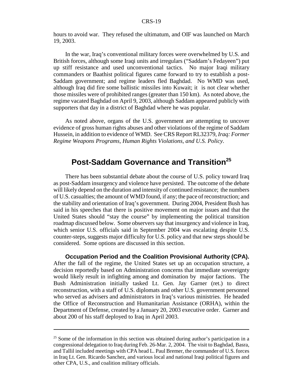hours to avoid war. They refused the ultimatum, and OIF was launched on March 19, 2003.

In the war, Iraq's conventional military forces were overwhelmed by U.S. and British forces, although some Iraqi units and irregulars ("Saddam's Fedayeen") put up stiff resistance and used unconventional tactics. No major Iraqi military commanders or Baathist political figures came forward to try to establish a post-Saddam government; and regime leaders fled Baghdad. No WMD was used, although Iraq did fire some ballistic missiles into Kuwait; it is not clear whether those missiles were of prohibited ranges (greater than 150 km). As noted above, the regime vacated Baghdad on April 9, 2003, although Saddam appeared publicly with supporters that day in a district of Baghdad where he was popular.

As noted above, organs of the U.S. government are attempting to uncover evidence of gross human rights abuses and other violations of the regime of Saddam Hussein, in addition to evidence of WMD. See CRS Report RL32379, *Iraq: Former Regime Weapons Programs, Human Rights Violations, and U.S. Policy*.

# **Post-Saddam Governance and Transition<sup>25</sup>**

There has been substantial debate about the course of U.S. policy toward Iraq as post-Saddam insurgency and violence have persisted. The outcome of the debate will likely depend on the duration and intensity of continued resistance; the numbers of U.S. casualties; the amount of WMD found, if any; the pace of reconstruction; and the stability and orientation of Iraq's government. During 2004, President Bush has said in his speeches that there is positive movement on major issues and that the United States should "stay the course" by implementing the political transition roadmap discussed below. Some observers say that insurgency and violence in Iraq, which senior U.S. officials said in September 2004 was escalating despite U.S. counter-steps, suggests major difficulty for U.S. policy and that new steps should be considered. Some options are discussed in this section.

**Occupation Period and the Coalition Provisional Authority (CPA).** After the fall of the regime, the United States set up an occupation structure, a decision reportedly based on Administration concerns that immediate sovereignty would likely result in infighting among and domination by major factions. The Bush Administration initially tasked Lt. Gen. Jay Garner (ret.) to direct reconstruction, with a staff of U.S. diplomats and other U.S. government personnel who served as advisers and administrators in Iraq's various ministries. He headed the Office of Reconstruction and Humanitarian Assistance (ORHA), within the Department of Defense, created by a January 20, 2003 executive order. Garner and about 200 of his staff deployed to Iraq in April 2003.

<sup>&</sup>lt;sup>25</sup> Some of the information in this section was obtained during author's participation in a congressional delegation to Iraq during Feb. 26-Mar. 2, 2004. The visit to Baghdad, Basra, and Tallil included meetings with CPA head L. Paul Bremer, the commander of U.S. forces in Iraq Lt. Gen. Ricardo Sanchez, and various local and national Iraqi political figures and other CPA, U.S., and coalition military officials.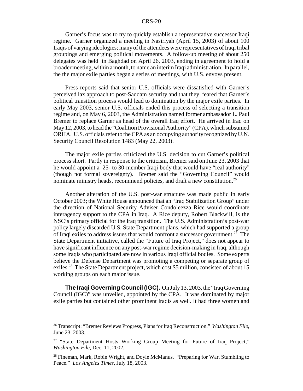Garner's focus was to try to quickly establish a representative successor Iraqi regime. Garner organized a meeting in Nasiriyah (April 15, 2003) of about 100 Iraqis of varying ideologies; many of the attendees were representatives of Iraqi tribal groupings and emerging political movements. A follow-up meeting of about 250 delegates was held in Baghdad on April 26, 2003, ending in agreement to hold a broader meeting, within a month, to name an interim Iraqi administration. In parallel, the the major exile parties began a series of meetings, with U.S. envoys present.

Press reports said that senior U.S. officials were dissatisfied with Garner's perceived lax approach to post-Saddam security and that they feared that Garner's political transition process would lead to domination by the major exile parties. In early May 2003, senior U.S. officials ended this process of selecting a transition regime and, on May 6, 2003, the Administration named former ambassador L. Paul Bremer to replace Garner as head of the overall Iraq effort. He arrived in Iraq on May 12, 2003, to head the "Coalition Provisional Authority" (CPA), which subsumed ORHA. U.S. officials refer to the CPA as an occupying authority recognized by U.N. Security Council Resolution 1483 (May 22, 2003).

The major exile parties criticized the U.S. decision to cut Garner's political process short. Partly in response to the criticism, Bremer said on June 23, 2003 that he would appoint a 25- to 30-member Iraqi body that would have "real authority" (though not formal sovereignty). Bremer said the "Governing Council" would nominate ministry heads, recommend policies, and draft a new constitution.<sup>26</sup>

Another alteration of the U.S. post-war structure was made public in early October 2003; the White House announced that an "Iraq Stabilization Group" under the direction of National Security Adviser Condoleezza Rice would coordinate interagency support to the CPA in Iraq. A Rice deputy, Robert Blackwill, is the NSC's primary official for the Iraq transition. The U.S. Administration's post-war policy largely discarded U.S. State Department plans, which had supported a group of Iraqi exiles to address issues that would confront a successor government.<sup>27</sup> The State Department initiative, called the "Future of Iraq Project," does not appear to have significant influence on any post-war regime decision-making in Iraq, although some Iraqis who participated are now in various Iraqi official bodies. Some experts believe the Defense Department was promoting a competing or separate group of exiles.<sup>28</sup> The State Department project, which cost \$5 million, consisted of about 15 working groups on each major issue.

**The Iraqi Governing Council (IGC).** On July 13, 2003, the "Iraq Governing Council (IGC)" was unveiled, appointed by the CPA. It was dominated by major exile parties but contained other prominent Iraqis as well. It had three women and

<sup>26</sup> Transcript: "Bremer Reviews Progress, Plans for Iraq Reconstruction." *Washington File*, June 23, 2003.

<sup>&</sup>lt;sup>27</sup> "State Department Hosts Working Group Meeting for Future of Iraq Project," *Washington File*, Dec. 11, 2002.

<sup>&</sup>lt;sup>28</sup> Fineman, Mark, Robin Wright, and Doyle McManus. "Preparing for War, Stumbling to Peace." *Los Angeles Times*, July 18, 2003.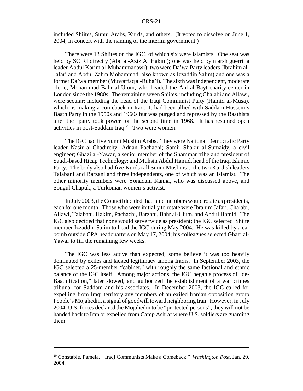included Shiites, Sunni Arabs, Kurds, and others. (It voted to dissolve on June 1, 2004, in concert with the naming of the interim government.)

There were 13 Shiites on the IGC, of which six were Islamists. One seat was held by SCIRI directly (Abd al-Aziz Al Hakim); one was held by marsh guerrilla leader Abdul Karim al-Muhammadawi); two were Da'wa Party leaders (Ibrahim al-Jafari and Abdul Zahra Mohammad, also known as Izzaddin Salim) and one was a former Da'wa member (Muwaffaq al-Ruba'i). The sixth was independent, moderate cleric, Mohammad Bahr al-Ulum, who headed the Ahl al-Bayt charity center in London since the 1980s. The remaining seven Shiites, including Chalabi and Allawi, were secular; including the head of the Iraqi Communist Party (Hamid al-Musa), which is making a comeback in Iraq. It had been allied with Saddam Hussein's Baath Party in the 1950s and 1960s but was purged and repressed by the Baathists after the party took power for the second time in 1968. It has resumed open activities in post-Saddam Iraq.<sup>29</sup> Two were women.

The IGC had five Sunni Muslim Arabs. They were National Democratic Party leader Nasir al-Chadirchy; Adnan Pachachi; Samir Shakir al-Sumaidy, a civil engineer; Ghazi al-Yawar, a senior member of the Shammar tribe and president of Saudi-based Hicap Technology; and Muhsin Abdul Hamid, head of the Iraqi Islamic Party. The body also had five Kurds (all Sunni Muslims): the two Kurdish leaders Talabani and Barzani and three independents, one of which was an Islamist. The other minority members were Yonadam Kanna, who was discussed above, and Songul Chapuk, a Turkoman women's activist.

In July 2003, the Council decided that nine members would rotate as presidents, each for one month. Those who were initially to rotate were Ibrahim Jafari, Chalabi, Allawi, Talabani, Hakim, Pachachi, Barzani, Bahr al-Ulum, and Abdul Hamid. The IGC also decided that none would serve twice as president; the IGC selected Shiite member Izzaddin Salim to head the IGC during May 2004. He was killed by a car bomb outside CPA headquarters on May 17, 2004; his colleagues selected Ghazi al-Yawar to fill the remaining few weeks.

The IGC was less active than expected; some believe it was too heavily dominated by exiles and lacked legitimacy among Iraqis. In September 2003, the IGC selected a 25-member "cabinet," with roughly the same factional and ethnic balance of the IGC itself. Among major actions, the IGC began a process of "de-Baathification," later slowed, and authorized the establishment of a war crimes tribunal for Saddam and his associates. In December 2003, the IGC called for expelling from Iraqi territory any members of an exiled Iranian opposition group People's Mojahedin, a signal of goodwill toward neighboring Iran. However, in July 2004, U.S. forces declared the Mojahedin to be "protected persons"; they will not be handed back to Iran or expelled from Camp Ashraf where U.S. soldiers are guarding them.

<sup>29</sup> Constable, Pamela. " Iraqi Communists Make a Comeback." *Washington Post*, Jan. 29, 2004.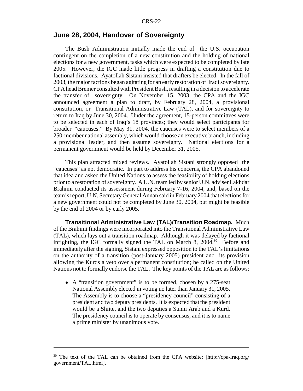#### **June 28, 2004, Handover of Sovereignty**

The Bush Administration initially made the end of the U.S. occupation contingent on the completion of a new constitution and the holding of national elections for a new government, tasks which were expected to be completed by late 2005. However, the IGC made little progress in drafting a constitution due to factional divisions. Ayatollah Sistani insisted that drafters be elected. In the fall of 2003, the major factions began agitating for an early restoration of Iraqi sovereignty. CPA head Bremer consulted with President Bush, resulting in a decision to accelerate the transfer of sovereignty. On November 15, 2003, the CPA and the IGC announced agreement a plan to draft, by February 28, 2004, a provisional constitution, or Transitional Administrative Law (TAL), and for sovereignty to return to Iraq by June 30, 2004. Under the agreement, 15-person committees were to be selected in each of Iraq's 18 provinces; they would select participants for broader "caucuses." By May 31, 2004, the caucuses were to select members of a 250-member national assembly, which would choose an executive branch, including a provisional leader, and then assume sovereignty. National elections for a permanent government would be held by December 31, 2005.

This plan attracted mixed reviews. Ayatollah Sistani strongly opposed the "caucuses" as not democratic. In part to address his concerns, the CPA abandoned that idea and asked the United Nations to assess the feasibility of holding elections prior to a restoration of sovereignty. A U.N. team led by senior U.N. adviser Lakhdar Brahimi conducted its assessment during February 7-16, 2004, and, based on the team's report, U.N. Secretary General Annan said in February 2004 that elections for a new government could not be completed by June 30, 2004, but might be feasible by the end of 2004 or by early 2005.

**Transitional Administrative Law (TAL)/Transition Roadmap.** Much of the Brahimi findings were incorporated into the Transitional Administrative Law (TAL), which lays out a transition roadmap. Although it was delayed by factional infighting, the IGC formally signed the TAL on March 8,  $2004$ <sup>30</sup> Before and immediately after the signing, Sistani expressed opposition to the TAL's limitations on the authority of a transition (post-January 2005) president and its provision allowing the Kurds a veto over a permanent constitution; he called on the United Nations not to formally endorse the TAL. The key points of the TAL are as follows:

• A "transition government" is to be formed, chosen by a 275-seat National Assembly elected in voting no later than January 31, 2005. The Assembly is to choose a "presidency council" consisting of a president and two deputy presidents. It is expected that the president would be a Shiite, and the two deputies a Sunni Arab and a Kurd. The presidency council is to operate by consensus, and it is to name a prime minister by unanimous vote.

<sup>&</sup>lt;sup>30</sup> The text of the TAL can be obtained from the CPA website: [http://cpa-iraq.org/ government/TAL.html].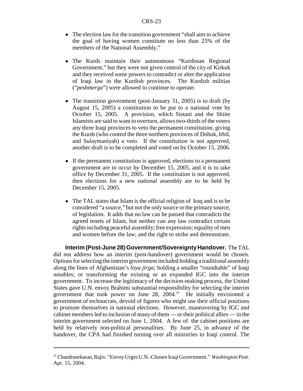- The election law for the transition government "shall aim to achieve the goal of having women constitute no less than 25% of the members of the National Assembly."
- ! The Kurds maintain their autonomous "Kurdistan Regional Government," but they were not given control of the city of Kirkuk and they received some powers to contradict or alter the application of Iraqi law in the Kurdish provinces. The Kurdish militias ("*peshmerga*") were allowed to continue to operate.
- The transition government (post-January 31, 2005) is to draft (by August 15, 2005) a constitution to be put to a national vote by October 15, 2005. A provision, which Sistani and the Shiite Islamists are said to want to overturn, allows two-thirds of the voters any three Iraqi provinces to veto the permanent constitution, giving the Kurds (who control the three northern provinces of Dohuk, Irbil, and Sulaymaniyah) a veto. If the constitution is not approved, another draft is to be completed and voted on by October 15, 2006.
- ! If the permanent constitution is approved, elections to a permanent government are to occur by December 15, 2005, and it is to take office by December 31, 2005. If the constitution is not approved, then elections for a new national assembly are to be held by December 15, 2005.
- The TAL states that Islam is the official religion of Iraq and is to be considered "a source," but not the only source or the primary source, of legislation. It adds that no law can be passed that contradicts the agreed tenets of Islam, but neither can any law contradict certain rights including peaceful assembly; free expression; equality of men and women before the law; and the right to strike and demonstrate.

**Interim (Post-June 28) Government/Sovereignty Handover.** The TAL did not address how an interim (post-handover) government would be chosen. Options for selecting the interim government included holding a traditional assembly along the lines of Afghanistan's *loya jirga;* holding a smaller "roundtable" of Iraqi notables; or transforming the existing or an expanded IGC into the interim government. To increase the legitimacy of the decision-making process, the United States gave U.N. envoy Brahimi substantial responsibility for selecting the interim government that took power on June 28, 2004.31 He initially envisioned a government of technocrats, devoid of figures who might use their official positions to promote themselves in national elections. However, maneuvering by IGC and cabinet members led to inclusion of many of them — or their political allies — in the interim government selected on June 1, 2004. A few of the cabinet positions are held by relatively non-political personalities. By June 25, in advance of the handover, the CPA had finished turning over all ministries to Iraqi control. The

<sup>31</sup> Chandrasekaran, Rajiv. "Envoy Urges U.N.-Chosen Iraqi Government." *Washington Post*. Apr. 15, 2004.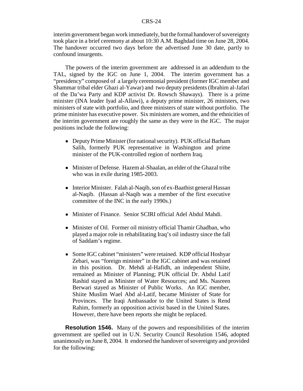interim government began work immediately, but the formal handover of sovereignty took place in a brief ceremony at about 10:30 A.M. Baghdad time on June 28, 2004. The handover occurred two days before the advertised June 30 date, partly to confound insurgents.

The powers of the interim government are addressed in an addendum to the TAL, signed by the IGC on June 1, 2004. The interim government has a "presidency" composed of a largely ceremonial president (former IGC member and Shammar tribal elder Ghazi al-Yawar) and two deputy presidents (Ibrahim al-Jafari of the Da'wa Party and KDP activist Dr. Rowsch Shaways). There is a prime minister (INA leader Iyad al-Allawi), a deputy prime minister, 26 ministers, two ministers of state with portfolio, and three ministers of state without portfolio. The prime minister has executive power. Six ministers are women, and the ethnicities of the interim government are roughly the same as they were in the IGC. The major positions include the following:

- Deputy Prime Minister (for national security). PUK official Barham Salih, formerly PUK representative in Washington and prime minister of the PUK-controlled region of northern Iraq.
- Minister of Defense. Hazem al-Shaalan, an elder of the Ghazal tribe who was in exile during 1985-2003.
- Interior Minister. Falah al-Naqib, son of ex-Baathist general Hassan al-Naqib. (Hassan al-Naqib was a member of the first executive committee of the INC in the early 1990s.)
- ! Minister of Finance. Senior SCIRI official Adel Abdul Mahdi.
- Minister of Oil. Former oil ministry official Thamir Ghadban, who played a major role in rehabilitating Iraq's oil industry since the fall of Saddam's regime.
- ! Some IGC cabinet "ministers" were retained. KDP official Hoshyar Zebari, was "foreign minister" in the IGC cabinet and was retained in this position. Dr. Mehdi al-Hafidh, an independent Shiite, remained as Minister of Planning; PUK official Dr. Abdul Latif Rashid stayed as Minister of Water Resources; and Ms. Nasreen Berwari stayed as Minister of Public Works. An IGC member, Shiite Muslim Wael Abd al-Latif, became Minister of State for Provinces. The Iraqi Ambassador to the United States is Rend Rahim, formerly an opposition activist based in the United States. However, there have been reports she might be replaced.

**Resolution 1546.** Many of the powers and responsibilities of the interim government are spelled out in U.N. Security Council Resolution 1546, adopted unanimously on June 8, 2004. It endorsed the handover of sovereignty and provided for the following: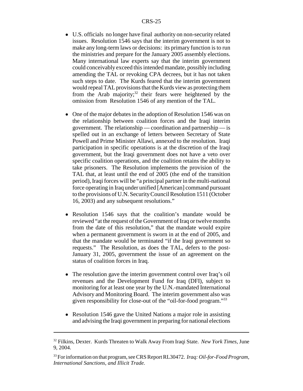- U.S. officials no longer have final authority on non-security related issues. Resolution 1546 says that the interim government is not to make any long-term laws or decisions: its primary function is to run the ministries and prepare for the January 2005 assembly elections. Many international law experts say that the interim government could conceivably exceed this intended mandate, possibly including amending the TAL or revoking CPA decrees, but it has not taken such steps to date. The Kurds feared that the interim government would repeal TAL provisions that the Kurds view as protecting them from the Arab majority;<sup>32</sup> their fears were heightened by the omission from Resolution 1546 of any mention of the TAL.
- One of the major debates in the adoption of Resolution 1546 was on the relationship between coalition forces and the Iraqi interim government. The relationship — coordination and partnership — is spelled out in an exchange of letters between Secretary of State Powell and Prime Minister Allawi, annexed to the resolution. Iraqi participation in specific operations is at the discretion of the Iraqi government, but the Iraqi government does not have a veto over specific coalition operations, and the coalition retains the ability to take prisoners. The Resolution implements the provision of the TAL that, at least until the end of 2005 (the end of the transition period), Iraqi forces will be "a principal partner in the multi-national force operating in Iraq under unified [American] command pursuant to the provisions of U.N. Security Council Resolution 1511 (October 16, 2003) and any subsequent resolutions."
- Resolution 1546 says that the coalition's mandate would be reviewed "at the request of the Government of Iraq or twelve months from the date of this resolution," that the mandate would expire when a permanent government is sworn in at the end of 2005, and that the mandate would be terminated "if the Iraqi government so requests." The Resolution, as does the TAL, defers to the post-January 31, 2005, government the issue of an agreement on the status of coalition forces in Iraq.
- The resolution gave the interim government control over Iraq's oil revenues and the Development Fund for Iraq (DFI), subject to monitoring for at least one year by the U.N.-mandated International Advisory and Monitoring Board. The interim government also was given responsibility for close-out of the "oil-for-food program."33
- Resolution 1546 gave the United Nations a major role in assisting and advising the Iraqi government in preparing for national elections

<sup>32</sup> Filkins, Dexter. Kurds Threaten to Walk Away From Iraqi State. *New York Times*, June 9, 2004.

<sup>33</sup> For information on that program, see CRS Report RL30472. *Iraq: Oil-for-Food Program, International Sanctions, and Illicit Trade.*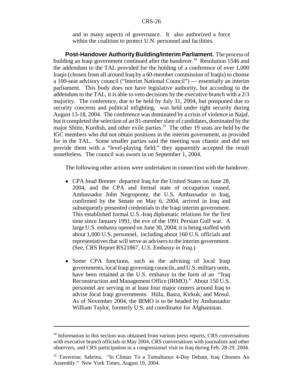and in many aspects of governance. It also authorized a force within the coalition to protect U.N. personnel and facilities.

**Post-Handover Authority Building/Interim Parliament.** The process of building an Iraqi government continued after the handover.<sup>34</sup> Resolution 1546 and the addendum to the TAL provided for the holding of a conference of over 1,000 Iraqis (chosen from all around Iraq by a 60-member commission of Iraqis) to choose a 100-seat advisory council ("Interim National Council") — essentially an interim parliament. This body does not have legislative authority, but according to the addendum to the TAL, it is able to veto decisions by the executive branch with a 2/3 majority. The conference, due to be held by July 31, 2004, but postponed due to security concerns and political infighting, was held under tight security during August 13-18, 2004. The conference was dominated by a crisis of violence in Najaf, but it completed the selection of an 81-member slate of candidates, dominated by the major Shiite, Kurdish, and other exile parties.<sup>35</sup> The other 19 seats are held by the IGC members who did not obtain positions in the interim government, as provided for in the TAL. Some smaller parties said the meeting was chaotic and did not provide them with a "level-playing field;" they apparently accepted the result nonetheless. The council was sworn in on September 1, 2004.

The following other actions were undertaken in connection with the handover.

- CPA head Bremer departed Iraq for the United States on June 28, 2004, and the CPA and formal state of occupation ceased. Ambassador John Negroponte, the U.S. Ambassador to Iraq, confirmed by the Senate on May 6, 2004, arrived in Iraq and subsequently presented credentials to the Iraqi interim government. This established formal U.S.-Iraq diplomatic relations for the first time since January 1991, the eve of the 1991 Persian Gulf war. A large U.S. embassy opened on June 30, 2004; it is being staffed with about 1,000 U.S. personnel, including about 160 U.S. officials and representatives that will serve as advisers to the interim government. (See, CRS Report RS21867, *U.S. Embassy in Iraq*.)
- Some CPA functions, such as the advising of local Iraqi governments, local Iraqi governing councils, and U.S. military units, have been retained at the U.S. embassy in the form of an "Iraq" Reconstruction and Management Office (IRMO)." About 150 U.S. personnel are serving in at least four major centers around Iraq to advise local Iraqi governments: Hilla, Basra, Kirkuk, and Mosul. As of November 2004, the IRMO is to be headed by Ambassador William Taylor, formerly U.S. aid coordinator for Afghanistan.

<sup>&</sup>lt;sup>34</sup> Information in this section was obtained from various press reports, CRS conversations with executive branch officials in May 2004, CRS conversations with journalists and other observers, and CRS participation in a congressional visit to Iraq during Feb. 28-29, 2004.

<sup>35</sup> Tavernise, Sabrina. "In Climax To a Tumultuous 4-Day Debate, Iraq Chooses An Assembly." New York Times, August 19, 2004.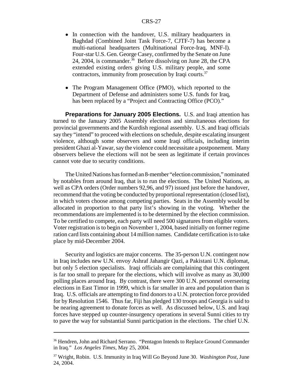- In connection with the handover, U.S. military headquarters in Baghdad (Combined Joint Task Force-7, CJTF-7) has become a multi-national headquarters (Multinational Force-Iraq, MNF-I). Four-star U.S. Gen. George Casey, confirmed by the Senate on June 24, 2004, is commander.<sup>36</sup> Before dissolving on June 28, the CPA extended existing orders giving U.S. military people, and some contractors, immunity from prosecution by Iraqi courts.<sup>37</sup>
- The Program Management Office (PMO), which reported to the Department of Defense and administers some U.S. funds for Iraq, has been replaced by a "Project and Contracting Office (PCO)."

**Preparations for January 2005 Elections.** U.S. and Iraqi attention has turned to the January 2005 Assembly elections and simultaneous elections for provincial governments and the Kurdish regional assembly. U.S. and Iraqi officials say they "intend" to proceed with elections on schedule, despite escalating insurgent violence, although some observers and some Iraqi officials, including interim president Ghazi al-Yawar, say the violence could necessitate a postponement. Many observers believe the elections will not be seen as legitimate if certain provinces cannot vote due to security conditions.

The United Nations has formed an 8-member "election commission," nominated by notables from around Iraq, that is to run the elections. The United Nations, as well as CPA orders (Order numbers 92,96, and 97) issued just before the handover, recommend that the voting be conducted by proportional representation (closed list), in which voters choose among competing parties. Seats in the Assembly would be allocated in proportion to that party list's showing in the voting. Whether the recommendations are implemented is to be determined by the election commission. To be certified to compete, each party will need 500 signatures from eligible voters. Voter registration is to begin on November 1, 2004, based initially on former regime ration card lists containing about 14 million names. Candidate certification is to take place by mid-December 2004.

Security and logistics are major concerns. The 35-person U.N. contingent now in Iraq includes new U.N. envoy Ashraf Jahangir Qazi, a Pakistani U.N. diplomat, but only 5 election specialists. Iraqi officials are complaining that this contingent is far too small to prepare for the elections, which will involve as many as 30,000 polling places around Iraq. By contrast, there were 300 U.N. personnel overseeing elections in East Timor in 1999, which is far smaller in area and population than is Iraq. U.S. officials are attempting to find donors to a U.N. protection force provided for by Resolution 1546. Thus far, Fiji has pledged 130 troops and Georgia is said to be nearing agreement to donate forces as well. As discussed below, U.S. and Iraqi forces have stepped up counter-insurgency operations in several Sunni cities to try to pave the way for substantial Sunni participation in the elections. The chief U.N.

<sup>&</sup>lt;sup>36</sup> Hendren, John and Richard Serrano. "Pentagon Intends to Replace Ground Commander in Iraq." *Los Angeles Times*, May 25, 2004.

<sup>37</sup> Wright, Robin. U.S. Immunity in Iraq Will Go Beyond June 30. *Washington Post*, June 24, 2004.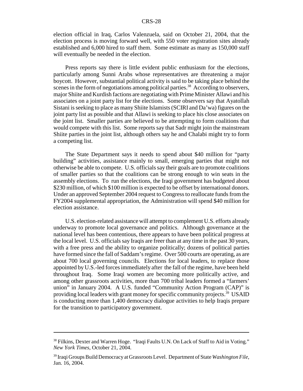election official in Iraq, Carlos Valenzuela, said on October 21, 2004, that the election process is moving forward well, with 550 voter registration sites already established and 6,000 hired to staff them. Some estimate as many as 150,000 staff will eventually be needed in the election.

Press reports say there is little evident public enthusiasm for the elections, particularly among Sunni Arabs whose representatives are threatening a major boycott. However, substantial political activity is said to be taking place behind the scenes in the form of negotiations among political parties.<sup>38</sup> According to observers, major Shiite and Kurdish factions are negotiating with Prime Minister Allawi and his associates on a joint party list for the elections. Some observers say that Ayatollah Sistani is seeking to place as many Shiite Islamists (SCIRI and Da'wa) figures on the joint party list as possible and that Allawi is seeking to place his close associates on the joint list. Smaller parties are believed to be attempting to form coalitions that would compete with this list. Some reports say that Sadr might join the mainstream Shiite parties in the joint list, although others say he and Chalabi might try to form a competing list.

The State Department says it needs to spend about \$40 million for "party building" activities, assistance mainly to small, emerging parties that might not otherwise be able to compete. U.S. officials say their goals are to promote coalitions of smaller parties so that the coalitions can be strong enough to win seats in the assembly elections. To run the elections, the Iraqi government has budgeted about \$230 million, of which \$100 million is expected to be offset by international donors. Under an approved September 2004 request to Congress to reallocate funds from the FY2004 supplemental appropriation, the Administration will spend \$40 million for election assistance.

U.S. election-related assistance will attempt to complement U.S. efforts already underway to promote local governance and politics. Although governance at the national level has been contentious, there appears to have been political progress at the local level. U.S. officials say Iraqis are freer than at any time in the past 30 years, with a free press and the ability to organize politically; dozens of political parties have formed since the fall of Saddam's regime. Over 500 courts are operating, as are about 700 local governing councils. Elections for local leaders, to replace those appointed by U.S.-led forces immediately after the fall of the regime, have been held throughout Iraq. Some Iraqi women are becoming more politically active, and among other grassroots activities, more than 700 tribal leaders formed a "farmers' union" in January 2004. A U.S. funded "Community Action Program (CAP)" is providing local leaders with grant money for specific community projects.<sup>39</sup> USAID is conducting more than 1,400 democracy dialogue activities to help Iraqis prepare for the transition to participatory government.

<sup>&</sup>lt;sup>38</sup> Filkins, Dexter and Warren Hoge. "Iraqi Faults U.N. On Lack of Staff to Aid in Voting." *New York Times*, October 21, 2004.

<sup>39</sup> Iraqi Groups Build Democracy at Grassroots Level. Department of State *Washington File*, Jan. 16, 2004.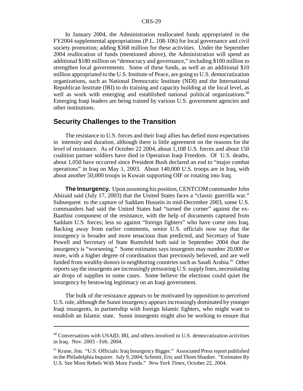In January 2004, the Administration reallocated funds appropriated in the FY2004 supplemental appropriations (P.L. 108-106) for local governance and civil society promotion; adding \$368 million for these activities. Under the September 2004 reallocation of funds (mentioned above), the Administration will spend an additional \$180 million on "democracy and governance," including \$100 million to strengthen local governments. Some of these funds, as well as an additional \$10 million appropriated to the U.S. Institute of Peace, are going to U.S. democratization organizations, such as National Democratic Institute (NDI) and the International Republican Institute (IRI) to do training and capacity building at the local level, as well as work with emerging and established national political organizations.<sup>40</sup> Emerging Iraqi leaders are being trained by various U.S. government agencies and other institutions.

### **Security Challenges to the Transition**

The resistance to U.S. forces and their Iraqi allies has defied most expectations in intensity and duration, although there is little agreement on the reasons for the level of resistance. As of October 22 2004, about 1,108 U.S. forces and about 150 coalition partner soldiers have died in Operation Iraqi Freedom. Of U.S. deaths, about 1,050 have occurred since President Bush declared an end to "major combat operations" in Iraq on May 1, 2003. About 140,000 U.S. troops are in Iraq, with about another 50,000 troops in Kuwait supporting OIF or rotating into Iraq.

**The Insurgency.** Upon assuming his position, CENTCOM commander John Abizaid said (July 17, 2003) that the United States faces a "classic guerrilla war." Subsequent to the capture of Saddam Hussein in mid-December 2003, some U.S. commanders had said the United States had "turned the corner" against the ex-Baathist component of the resistance, with the help of documents captured from Saddam U.S. forces; less so against "foreign fighters" who have come into Iraq. Backing away from earlier comments, senior U.S. officials now say that the insurgency is broader and more tenacious than predicted, and Secretary of State Powell and Secretary of State Rumsfeld both said in September 2004 that the insurgency is "worsening." Some estimates says insurgents may number 20,000 or more, with a higher degree of coordination than previously believed, and are well funded from wealthy donors in neighboring countries such as Saudi Arabia.<sup>41</sup> Other reports say the insurgents are increasingly pressuring U.S. supply lines, necessitating air drops of supplies in some cases. Some believe the elections could quiet the insurgency by bestowing legitimacy on an Iraqi government.

The bulk of the resistance appears to be motivated by opposition to perceived U.S. rule, although the Sunni insurgency appears increasingly dominated by younger Iraqi insurgents, in partnership with foreign Islamic fighters, who might want to establish an Islamic state. Sunni insurgents might also be working to ensure that

<sup>&</sup>lt;sup>40</sup> Conversations with USAID, IRI, and others involved in U.S. democratization activities in Iraq. Nov. 2003 - Feb. 2004.

<sup>41</sup> Krane, Jim. "U.S. Officials: Iraq Insurgency Bigger." Associated Press report published in the Philadelphia Inquirer. July 9, 2004; Schmitt, Eric and Thom Shanker. "Estimates By U.S. See More Rebels With More Funds." *New York Times*, October 22, 2004.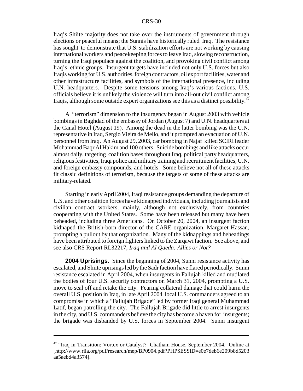Iraq's Shiite majority does not take over the instruments of government through elections or peaceful means; the Sunnis have historically ruled Iraq. The resistance has sought to demonstrate that U.S. stabilization efforts are not working by causing international workers and peacekeeping forces to leave Iraq, slowing reconstruction, turning the Iraqi populace against the coalition, and provoking civil conflict among Iraq's ethnic groups. Insurgent targets have included not only U.S. forces but also Iraqis working for U.S. authorities, foreign contractors, oil export facilities, water and other infrastructure facilities, and symbols of the international presence, including U.N. headquarters. Despite some tensions among Iraq's various factions, U.S. officials believe it is unlikely the violence will turn into all-out civil conflict among Iraqis, although some outside expert organizations see this as a distinct possibility.<sup>42</sup>

A "terrorism" dimension to the insurgency began in August 2003 with vehicle bombings in Baghdad of the embassy of Jordan (August 7) and U.N. headquarters at the Canal Hotel (August 19). Among the dead in the latter bombing was the U.N. representative in Iraq, Sergio Vieira de Mello, and it prompted an evacuation of U.N. personnel from Iraq. An August 29, 2003, car bombing in Najaf killed SCIRI leader Mohammad Baqr Al Hakim and 100 others. Suicide bombings and like attacks occur almost daily, targeting coalition bases throughout Iraq, political party headquarters, religious festivities, Iraqi police and military training and recruitment facilities, U.N. and foreign embassy compounds, and hotels. Some believe not all of these attacks fit classic definitions of terrorism, because the targets of some of these attacks are military-related.

Starting in early April 2004, Iraqi resistance groups demanding the departure of U.S. and other coalition forces have kidnapped individuals, including journalists and civilian contract workers, mainly, although not exclusively, from countries cooperating with the United States. Some have been released but many have been beheaded, including three Americans. On October 20, 2004, an insurgent faction kidnaped the British-born director of the CARE organization, Margaret Hassan, prompting a pullout by that organization. Many of the kidnappings and beheadings have been attributed to foreign fighters linked to the Zarqawi faction. See above, and see also CRS Report RL32217, *Iraq and Al Qaeda: Allies or Not?*

**2004 Uprisings.** Since the beginning of 2004, Sunni resistance activity has escalated, and Shiite uprisings led by the Sadr faction have flared periodically. Sunni resistance escalated in April 2004, when insurgents in Fallujah killed and mutilated the bodies of four U.S. security contractors on March 31, 2004, prompting a U.S. move to seal off and retake the city. Fearing collateral damage that could harm the overall U.S. position in Iraq, in late April 2004 local U.S. commanders agreed to an compromise in which a "Fallujah Brigade" led by former Iraqi general Muhammad Latif, began patrolling the city. The Fallujah Brigade did little to arrest insurgents in the city, and U.S. commanders believe the city has become a haven for insurgents; the brigade was disbanded by U.S. forces in September 2004. Sunni insurgent

<sup>&</sup>lt;sup>42</sup> "Iraq in Transition: Vortex or Catalyst? Chatham House, September 2004. Online at [http://www.riia.org/pdf/research/mep/BP0904.pdf?PHPSESSID=e0e7deb6e209b8d5203 aa5aebd4a3574].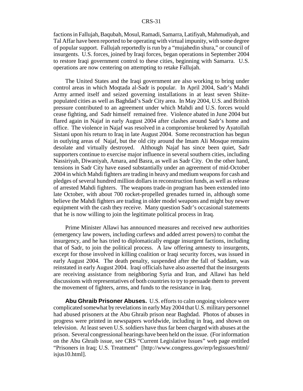factions in Fallujah, Baqubah, Mosul, Ramadi, Samarra, Latifiyah, Mahmudiyah, and Tal Affar have been reported to be operating with virtual impunity, with some degree of popular support. Fallujah reportedly is run by a "mujahedin shura," or council of insurgents. U.S. forces, joined by Iraqi forces, began operations in September 2004 to restore Iraqi government control to these cities, beginning with Samarra. U.S. operations are now centering on attempting to retake Fallujah.

The United States and the Iraqi government are also working to bring under control areas in which Moqtada al-Sadr is popular. In April 2004, Sadr's Mahdi Army armed itself and seized governing installations in at least seven Shiitepopulated cities as well as Baghdad's Sadr City area. In May 2004, U.S. and British pressure contributed to an agreement under which Mahdi and U.S. forces would cease fighting, and Sadr himself remained free. Violence abated in June 2004 but flared again in Najaf in early August 2004 after clashes around Sadr's home and office. The violence in Najaf was resolved in a compromise brokered by Ayatollah Sistani upon his return to Iraq in late August 2004. Some reconstruction has begun in outlying areas of Najaf, but the old city around the Imam Ali Mosque remains desolate and virtually destroyed. Although Najaf has since been quiet, Sadr supporters continue to exercise major influence in several southern cities, including Nassiriyah, Diwaniyah, Amara, and Basra, as well as Sadr City. On the other hand, tensions in Sadr City have eased substantially under an agreement of mid-October 2004 in which Mahdi fighters are trading in heavy and medium weapons for cash and pledges of several hundred million dollars in reconstruction funds, as well as release of arrested Mahdi fighters. The weapons trade-in program has been extended into late October, with about 700 rocket-propelled grenades turned in, although some believe the Mahdi fighters are trading in older model weapons and might buy newer equipment with the cash they receive. Many question Sadr's occasional statements that he is now willing to join the legitimate political process in Iraq.

Prime Minister Allawi has announced measures and received new authorities (emergency law powers, including curfews and added arrest powers) to combat the insurgency, and he has tried to diplomatically engage insurgent factions, including that of Sadr, to join the political process. A law offering amnesty to insurgents, except for those involved in killing coalition or Iraqi security forces, was issued in early August 2004. The death penalty, suspended after the fall of Saddam, was reinstated in early August 2004. Iraqi officials have also asserted that the insurgents are receiving assistance from neighboring Syria and Iran, and Allawi has held discussions with representatives of both countries to try to persuade them to prevent the movement of fighters, arms, and funds to the resistance in Iraq.

**Abu Ghraib Prisoner Abuses.** U.S. efforts to calm ongoing violence were complicated somewhat by revelations in early May 2004 that U.S. military personnel had abused prisoners at the Abu Ghraib prison near Baghdad. Photos of abuses in progress were printed in newspapers worldwide, including in Iraq, and shown on television. At least seven U.S. soldiers have thus far been charged with abuses at the prison. Several congressional hearings have been held on the issue. (For information on the Abu Ghraib issue, see CRS "Current Legislative Issues" web page entitled "Prisoners in Iraq; U.S. Treatment" [http://www.congress.gov/erp/legissues/html/ isjus10.html].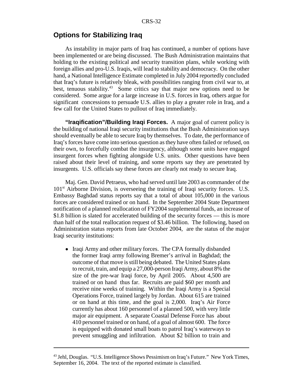#### **Options for Stabilizing Iraq**

As instability in major parts of Iraq has continued, a number of options have been implemented or are being discussed. The Bush Administration maintains that holding to the existing political and security transition plans, while working with foreign allies and pro-U.S. Iraqis, will lead to stability and democracy. On the other hand, a National Intelligence Estimate completed in July 2004 reportedly concluded that Iraq's future is relatively bleak, with possibilities ranging from civil war to, at best, tenuous stability.<sup>43</sup> Some critics say that major new options need to be considered. Some argue for a large increase in U.S. forces in Iraq, others argue for significant concessions to persuade U.S. allies to play a greater role in Iraq, and a few call for the United States to pullout of Iraq immediately.

**"Iraqification"/Building Iraqi Forces.** A major goal of current policy is the building of national Iraqi security institutions that the Bush Administration says should eventually be able to secure Iraq by themselves. To date, the performance of Iraq's forces have come into serious question as they have often failed or refused, on their own, to forcefully combat the insurgency, although some units have engaged insurgent forces when fighting alongside U.S. units. Other questions have been raised about their level of training, and some reports say they are penetrated by insurgents. U.S. officials say these forces are clearly not ready to secure Iraq.

Maj. Gen. David Petraeus, who had served until late 2003 as commander of the  $101<sup>st</sup>$  Airborne Division, is overseeing the training of Iraqi security forces. U.S. Embassy Baghdad status reports say that a total of about 105,000 in the various forces are considered trained or on hand. In the September 2004 State Department notification of a planned reallocation of FY2004 supplemental funds, an increase of \$1.8 billion is slated for accelerated building of the security forces — this is more than half of the total reallocation request of \$3.46 billion. The following, based on Administration status reports from late October 2004, are the status of the major Iraqi security institutions:

• Iraqi Army and other military forces. The CPA formally disbanded the former Iraqi army following Bremer's arrival in Baghdad; the outcome of that move is still being debated. The United States plans to recruit, train, and equip a 27,000-person Iraqi Army, about 8% the size of the pre-war Iraqi force, by April 2005. About 4,500 are trained or on hand thus far. Recruits are paid \$60 per month and receive nine weeks of training. Within the Iraqi Army is a Special Operations Force, trained largely by Jordan. About 615 are trained or on hand at this time, and the goal is 2,000. Iraq's Air Force currently has about 160 personnel of a planned 500, with very little major air equipment. A separate Coastal Defense Force has about 410 personnel trained or on hand, of a goal of almost 600. The force is equipped with donated small boats to patrol Iraq's waterways to prevent smuggling and infiltration. About \$2 billion to train and

<sup>&</sup>lt;sup>43</sup> Jehl, Douglas. "U.S. Intelligence Shows Pessimism on Iraq's Future." New York Times, September 16, 2004. The text of the reported estimate is classified.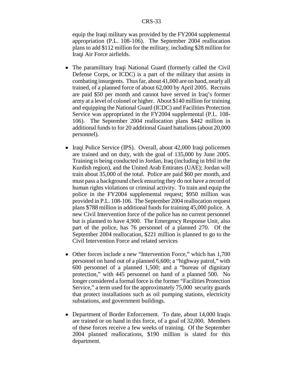equip the Iraqi military was provided by the FY2004 supplemental appropriation (P.L. 108-106). The September 2004 reallocation plans to add \$112 million for the military, including \$28 million for Iraqi Air Force airfields.

- The paramilitary Iraqi National Guard (formerly called the Civil Defense Corps, or ICDC) is a part of the military that assists in combating insurgents. Thus far, about 41,000 are on hand, nearly all trained, of a planned force of about 62,000 by April 2005. Recruits are paid \$50 per month and cannot have served in Iraq's former army at a level of colonel or higher. About \$140 million for training and equipping the National Guard (ICDC) and Facilities Protection Service was appropriated in the FY2004 supplemental (P.L. 108- 106). The September 2004 reallocation plans \$442 million in additional funds to for 20 additional Guard battalions (about 20,000 personnel).
- Iraqi Police Service (IPS). Overall, about 42,000 Iraqi policemen are trained and on duty, with the goal of 135,000 by June 2005. Training is being conducted in Jordan, Iraq (including in Irbil in the Kurdish region), and the United Arab Emirates (UAE); Jordan will train about 35,000 of the total. Police are paid \$60 per month, and must pass a background check ensuring they do not have a record of human rights violations or criminal activity. To train and equip the police in the FY2004 supplemental request; \$950 million was provided in P.L. 108-106. The September 2004 reallocation request plans \$788 million in additional funds for training 45,000 police. A new Civil Intervention force of the police has no current personnel but is planned to have 4,900. The Emergency Response Unit, also part of the police, has 76 personnel of a planned 270. Of the September 2004 reallocation, \$221 million is planned to go to the Civil Intervention Force and related services
- Other forces include a new "Intervention Force," which has 1,700 personnel on hand out of a planned 6,600; a "highway patrol," with 600 personnel of a planned 1,500; and a "bureau of dignitary protection," with 445 personnel on hand of a planned 500. No longer considered a formal force is the former "Facilities Protection Service," a term used for the approximately 75,000 security guards that protect installations such as oil pumping stations, electricity substations, and government buildings.
- Department of Border Enforcement. To date, about 14,000 Iraqis are trained or on hand in this force, of a goal of 32,000. Members of these forces receive a few weeks of training. Of the September 2004 planned reallocations, \$190 million is slated for this department.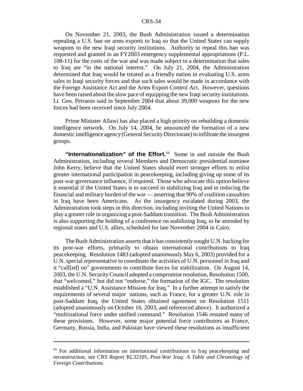On November 21, 2003, the Bush Administration issued a determination repealing a U.S. ban on arms exports to Iraq so that the United States can supply weapons to the new Iraqi security institutions. Authority to repeal this ban was requested and granted in an FY2003 emergency supplemental appropriations (P.L. 108-11) for the costs of the war and was made subject to a determination that sales to Iraq are "in the national interest." On July 21, 2004, the Administration determined that Iraq would be treated as a friendly nation in evaluating U.S. arms sales to Iraqi security forces and that such sales would be made in accordance with the Foreign Assistance Act and the Arms Export Control Act. However, questions have been raised about the slow pace of equipping the new Iraqi security institutions. Lt. Gen. Petraeus said in September 2004 that about 39,000 weapons for the new forces had been received since July 2004.

Prime Minister Allawi has also placed a high priority on rebuilding a domestic intelligence network. On July 14, 2004, he announced the formation of a new domestic intelligence agency (General Security Directorate) to infiltrate the insurgent groups.

"Internationalization" of the Effort.<sup>44</sup> Some in and outside the Bush Administration, including several Members and Democratic presidential nominee John Kerry, believe that the United States should exert stronger efforts to enlist greater international participation in peacekeeping, including giving up some of its post-war governance influence, if required. Those who advocate this option believe it essential if the United States is to succeed in stabilizing Iraq and in reducing the financial and military burden of the war — asserting that 90% of coalition casualties in Iraq have been Americans. As the insurgency escalated during 2003, the Administration took steps in this direction, including inviting the United Nations to play a greater role in organizing a post-Saddam transition. The Bush Administration is also supporting the holding of a conference on stabilizing Iraq, to be attended by regional states and U.S. allies, scheduled for late November 2004 in Cairo.

The Bush Administration asserts that it has consistently sought U.N. backing for its post-war efforts, primarily to obtain international contributions to Iraq peacekeeping. Resolution 1483 (adopted unanimously May 6, 2003) provided for a U.N. special representative to coordinate the activities of U.N. personnel in Iraq and it "call[ed] on" governments to contribute forces for stabilization. On August 14, 2003, the U.N. Security Council adopted a compromise resolution, Resolution 1500, that "welcomed," but did not "endorse," the formation of the IGC. The resolution established a "U.N. Assistance Mission for Iraq." In a further attempt to satisfy the requirements of several major nations, such as France, for a greater U.N. role in post-Saddam Iraq, the United States obtained agreement on Resolution 1511 (adopted unanimously on October 16, 2003, and referenced above). It authorized a "multinational force under unified command." Resolution 1546 restated many of these provisions. However, some major potential force contributors as France, Germany, Russia, India, and Pakistan have viewed these resolutions as insufficient

<sup>44</sup> For additional information on international contributions to Iraq peacekeeping and reconstruction, see CRS Report RL32105, *Post-War Iraq: A Table and Chronology of Foreign Contributions*.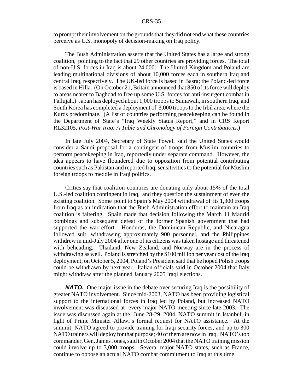to prompt their involvement on the grounds that they did not end what these countries perceive as U.S. monopoly of decision-making on Iraq policy.

The Bush Administration asserts that the United States has a large and strong coalition, pointing to the fact that 29 other countries are providing forces. The total of non-U.S. forces in Iraq is about 24,000. The United Kingdom and Poland are leading multinational divisions of about 10,000 forces each in southern Iraq and central Iraq, respectively. The UK-led force is based in Basra; the Poland-led force is based in Hilla. (On October 21, Britain announced that 850 of its force will deploy to areas nearer to Baghdad to free up some U.S. forces for anti-insurgent combat in Fallujah.) Japan has deployed about 1,000 troops to Samawah, in southern Iraq, and South Korea has completed a deployment of 3,000 troops to the Irbil area, where the Kurds predominate. (A list of countries performing peacekeeping can be found in the Department of State's "Iraq Weekly Status Report," and in CRS Report RL32105, *Post-War Iraq: A Table and Chronology of Foreign Contributions*.)

In late July 2004, Secretary of State Powell said the United States would consider a Saudi proposal for a contingent of troops from Muslim countries to perform peacekeeping in Iraq, reportedly under separate command. However, the idea appears to have floundered due to opposition from potential contributing countries such as Pakistan and reported Iraqi sensitivities to the potential for Muslim foreign troops to meddle in Iraqi politics.

Critics say that coalition countries are donating only about 15% of the total U.S.-led coalition contingent in Iraq, and they question the sustainment of even the existing coalition. Some point to Spain's May 2004 withdrawal of its 1,300 troops from Iraq as an indication that the Bush Administration effort to maintain an Iraq coalition is faltering. Spain made that decision following the March 11 Madrid bombings and subsequent defeat of the former Spanish government that had supported the war effort. Honduras, the Dominican Republic, and Nicaragua followed suit, withdrawing approximately 900 personnel, and the Philippines withdrew in mid-July 2004 after one of its citizens was taken hostage and threatened with beheading. Thailand, New Zealand, and Norway are in the process of withdrawing as well. Poland is stretched by the \$100 million per year cost of the Iraq deployment; on October 5, 2004, Poland's President said that he hoped Polish troops could be withdrawn by next year. Italian officials said in October 2004 that Italy might withdraw after the planned January 2005 Iraqi elections.

**NATO.** One major issue in the debate over securing Iraq is the possibility of greater NATO involvement. Since mid-2003, NATO has been providing logistical support to the international forces in Iraq led by Poland, but increased NATO involvement was discussed at every major NATO meeting since late 2003. The issue was discussed again at the June 28-29, 2004, NATO summit in Istanbul, in light of Prime Minister Allawi's formal request for NATO assistance. At the summit, NATO agreed to provide training for Iraqi security forces, and up to 300 NATO trainers will deploy for that purpose; 40 of them are now in Iraq. NATO's top commander, Gen. James Jones, said in October 2004 that the NATO training mission could involve up to 3,000 troops. Several major NATO states, such as France, continue to oppose an actual NATO combat commitment to Iraq at this time.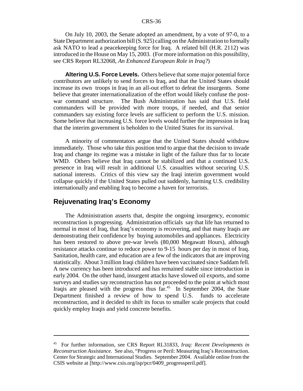On July 10, 2003, the Senate adopted an amendment, by a vote of 97-0, to a State Department authorization bill (S. 925) calling on the Administration to formally ask NATO to lead a peacekeeping force for Iraq. A related bill (H.R. 2112) was introduced in the House on May 15, 2003. (For more information on this possibility, see CRS Report RL32068, *An Enhanced European Role in Iraq?*)

**Altering U.S. Force Levels.** Others believe that some major potential force contributors are unlikely to send forces to Iraq, and that the United States should increase its own troops in Iraq in an all-out effort to defeat the insurgents. Some believe that greater internationalization of the effort would likely confuse the postwar command structure. The Bush Administration has said that U.S. field commanders will be provided with more troops, if needed, and that senior commanders say existing force levels are sufficient to perform the U.S. mission. Some believe that increasing U.S. force levels would further the impression in Iraq that the interim government is beholden to the United States for its survival.

A minority of commentators argue that the United States should withdraw immediately. Those who take this position tend to argue that the decision to invade Iraq and change its regime was a mistake in light of the failure thus far to locate WMD. Others believe that Iraq cannot be stabilized and that a continued U.S. presence in Iraq will result in additional U.S. casualties without securing U.S. national interests. Critics of this view say the Iraqi interim government would collapse quickly if the United States pulled out suddenly, harming U.S. credibility internationally and enabling Iraq to become a haven for terrorists.

### **Rejuvenating Iraq's Economy**

The Administration asserts that, despite the ongoing insurgency, economic reconstruction is progressing. Administration officials say that life has returned to normal in most of Iraq, that Iraq's economy is recovering, and that many Iraqis are demonstrating their confidence by buying automobiles and appliances. Electricity has been restored to above pre-war levels (80,000 Megawatt Hours), although resistance attacks continue to reduce power to 9-15 hours per day in most of Iraq. Sanitation, health care, and education are a few of the indicators that are improving statistically. About 3 million Iraqi children have been vaccinated since Saddam fell. A new currency has been introduced and has remained stable since introduction in early 2004. On the other hand, insurgent attacks have slowed oil exports, and some surveys and studies say reconstruction has not proceeded to the point at which most Iraqis are pleased with the progress thus  $far<sup>45</sup>$  In September 2004, the State Department finished a review of how to spend U.S. funds to accelerate reconstruction, and it decided to shift its focus to smaller scale projects that could quickly employ Iraqis and yield concrete benefits.

<sup>45</sup> For further information, see CRS Report RL31833, *Iraq: Recent Developments in Reconstruction Assistance.* See also, "Progress or Peril: Measuring Iraq's Reconstruction. Center for Strategic and International Studies. September 2004. Available online from the CSIS website at [http://www.csis.org/isp/pcr/0409\_progressperil.pdf].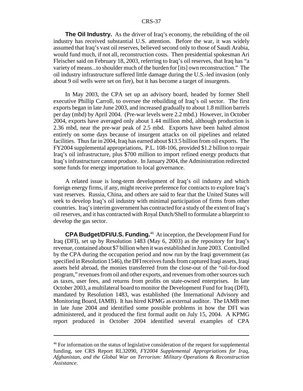**The Oil Industry.** As the driver of Iraq's economy, the rebuilding of the oil industry has received substantial U.S. attention. Before the war, it was widely assumed that Iraq's vast oil reserves, believed second only to those of Saudi Arabia, would fund much, if not all, reconstruction costs. Then presidential spokesman Ari Fleischer said on February 18, 2003, referring to Iraq's oil reserves, that Iraq has "a variety of means...to shoulder much of the burden for [its] own reconstruction." The oil industry infrastructure suffered little damage during the U.S.-led invasion (only about 9 oil wells were set on fire), but it has become a target of insurgents.

In May 2003, the CPA set up an advisory board, headed by former Shell executive Phillip Carroll, to oversee the rebuilding of Iraq's oil sector. The first exports began in late June 2003, and increased gradually to about 1.8 million barrels per day (mbd) by April 2004. (Pre-war levels were 2.2 mbd.) However, in October 2004, exports have averaged only about 1.44 million mbd, although production is 2.36 mbd, near the pre-war peak of 2.5 mbd. Exports have been halted almost entirely on some days because of insurgent attacks on oil pipelines and related facilities. Thus far in 2004, Iraq has earned about \$13.5 billion from oil exports. The FY2004 supplemental appropriations, P.L. 108-106, provided \$1.2 billion to repair Iraq's oil infrastructure, plus \$700 million to import refined energy products that Iraq's infrastructure cannot produce. In January 2004, the Administration redirected some funds for energy importation to local governance.

A related issue is long-term development of Iraq's oil industry and which foreign energy firms, if any, might receive preference for contracts to explore Iraq's vast reserves. Russia, China, and others are said to fear that the United States will seek to develop Iraq's oil industry with minimal participation of firms from other countries. Iraq's interim government has contracted for a study of the extent of Iraq's oil reserves, and it has contracted with Royal Dutch/Shell to formulate a blueprint to develop the gas sector.

**CPA Budget/DFI/U.S. Funding.**46 At inception, the Development Fund for Iraq (DFI), set up by Resolution 1483 (May 6, 2003) as the repository for Iraq's revenue, contained about \$7 billion when it was established in June 2003. Controlled by the CPA during the occupation period and now run by the Iraqi government (as specified in Resolution 1546), the DFI receives funds from captured Iraqi assets, Iraqi assets held abroad, the monies transferred from the close-out of the "oil-for-food program," revenues from oil and other exports, and revenues from other sources such as taxes, user fees, and returns from profits on state-owned enterprises. In late October 2003, a multilateral board to monitor the Development Fund for Iraq (DFI), mandated by Resolution 1483, was established (the International Advisory and Monitoring Board, IAMB). It has hired KPMG as external auditor. The IAMB met in late June 2004 and identified some possible problems in how the DFI was administered, and it produced the first formal audit on July 15, 2004. A KPMG report produced in October 2004 identified several examples of CPA

<sup>&</sup>lt;sup>46</sup> For information on the status of legislative consideration of the request for supplemental funding, see CRS Report RL32090, *FY2004 Supplemental Appropriations for Iraq, Afghanistan, and the Global War on Terrorism: Military Operations & Reconstruction Assistance*.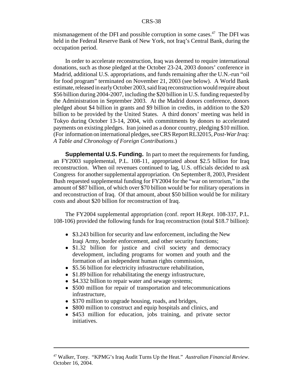mismanagement of the DFI and possible corruption in some cases. $47$  The DFI was held in the Federal Reserve Bank of New York, not Iraq's Central Bank, during the occupation period.

In order to accelerate reconstruction, Iraq was deemed to require international donations, such as those pledged at the October 23-24, 2003 donors' conference in Madrid, additional U.S. appropriations, and funds remaining after the U.N.-run "oil for food program" terminated on November 21, 2003 (see below). A World Bank estimate, released in early October 2003, said Iraq reconstruction would require about \$56 billion during 2004-2007, including the \$20 billion in U.S. funding requested by the Administration in September 2003. At the Madrid donors conference, donors pledged about \$4 billion in grants and \$9 billion in credits, in addition to the \$20 billion to be provided by the United States. A third donors' meeting was held in Tokyo during October 13-14, 2004, with commitments by donors to accelerated payments on existing pledges. Iran joined as a donor country, pledging \$10 million. (For information on international pledges, see CRS Report RL32015, *Post-War Iraq: A Table and Chronology of Foreign Contributions*.)

**Supplemental U.S. Funding.** In part to meet the requirements for funding, an FY2003 supplemental, P.L. 108-11, appropriated about \$2.5 billion for Iraq reconstruction. When oil revenues continued to lag, U.S. officials decided to ask Congress for another supplemental appropriation. On September 8, 2003, President Bush requested supplemental funding for FY2004 for the "war on terrorism," in the amount of \$87 billion, of which over \$70 billion would be for military operations in and reconstruction of Iraq. Of that amount, about \$50 billion would be for military costs and about \$20 billion for reconstruction of Iraq.

The FY2004 supplemental appropriation (conf. report H.Rept. 108-337, P.L. 108-106) provided the following funds for Iraq reconstruction (total \$18.7 billion):

- \$3.243 billion for security and law enforcement, including the New Iraqi Army, border enforcement, and other security functions;
- \$1.32 billion for justice and civil society and democracy development, including programs for women and youth and the formation of an independent human rights commission,
- \$5.56 billion for electricity infrastructure rehabilitation,
- \$1.89 billion for rehabilitating the energy infrastructure,
- \$4.332 billion to repair water and sewage systems;
- \$500 million for repair of transportation and telecommunications infrastructure,
- \$370 million to upgrade housing, roads, and bridges,
- \$800 million to construct and equip hospitals and clinics, and
- \$453 million for education, jobs training, and private sector initiatives.

<sup>47</sup> Walker, Tony. "KPMG's Iraq Audit Turns Up the Heat." *Australian Financial Review*. October 16, 2004.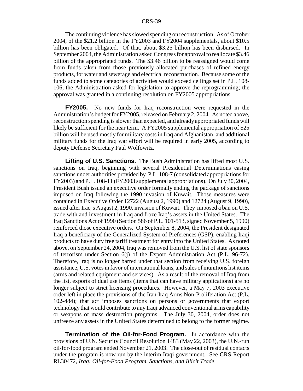The continuing violence has slowed spending on reconstruction. As of October 2004, of the \$21.2 billion in the FY2003 and FY2004 supplementals, about \$10.5 billion has been obligated. Of that, about \$3.25 billion has been disbursed. In September 2004, the Administration asked Congress for approval to reallocate \$3.46 billion of the appropriated funds. The \$3.46 billion to be reassigned would come from funds taken from those previously allocated purchases of refined energy products, for water and sewerage and electrical reconstruction. Because some of the funds added to some categories of activities would exceed ceilings set in P.L. 108- 106, the Administration asked for legislation to approve the reprogramming; the approval was granted in a continuing resolution on FY2005 appropriations.

**FY2005.** No new funds for Iraq reconstruction were requested in the Administration's budget for FY2005, released on February 2, 2004. As noted above, reconstruction spending is slower than expected, and already appropriated funds will likely be sufficient for the near term. A FY2005 supplemental appropriation of \$25 billion will be used mostly for military costs in Iraq and Afghanistan, and additional military funds for the Iraq war effort will be required in early 2005, according to deputy Defense Secretary Paul Wolfowitz.

**Lifting of U.S. Sanctions.** The Bush Administration has lifted most U.S. sanctions on Iraq, beginning with several Presidential Determinations easing sanctions under authorities provided by P.L. 108-7 (consolidated appropriations for FY2003) and P.L. 108-11 (FY2003 supplemental appropriations). On July 30, 2004, President Bush issued an executive order formally ending the package of sanctions imposed on Iraq following the 1990 invasion of Kuwait. Those measures were contained in Executive Order 12722 (August 2, 1990) and 12724 (August 9, 1990), issued after Iraq's August 2, 1990, invasion of Kuwait. They imposed a ban on U.S. trade with and investment in Iraq and froze Iraq's assets in the United States. The Iraq Sanctions Act of 1990 (Section 586 of P.L. 101-513, signed November 5, 1990) reinforced those executive orders. On September 8, 2004, the President designated Iraq a beneficiary of the Generalized System of Preferences (GSP), enabling Iraqi products to have duty free tariff treatment for entry into the United States. As noted above, on September 24, 2004, Iraq was removed from the U.S. list of state sponsors of terrorism under Section 6(j) of the Export Administration Act (P.L. 96-72). Therefore, Iraq is no longer barred under that section from receiving U.S. foreign assistance, U.S. votes in favor of international loans, and sales of munitions list items (arms and related equipment and services). As a result of the removal of Iraq from the list, exports of dual use items (items that can have military applications) are no longer subject to strict licensing procedures. However, a May 7, 2003 executive order left in place the provisions of the Iran-Iraq Arms Non-Proliferation Act (P.L. 102-484); that act imposes sanctions on persons or governments that export technology that would contribute to any Iraqi advanced conventional arms capability or weapons of mass destruction programs. The July 30, 2004, order does not unfreeze any assets in the United States determined to belong to the former regime.

**Termination of the Oil-for-Food Program.** In accordance with the provisions of U.N. Security Council Resolution 1483 (May 22, 2003), the U.N.-run oil-for-food program ended November 21, 2003. The close-out of residual contacts under the program is now run by the interim Iraqi government. See CRS Report RL30472, *Iraq: Oil-for-Food Program, Sanctions, and Illicit Trade*.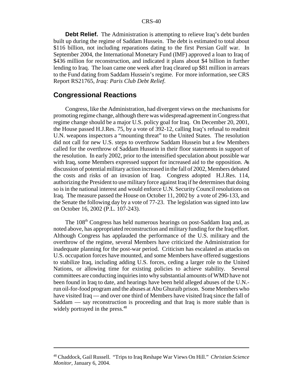**Debt Relief.** The Administration is attempting to relieve Iraq's debt burden built up during the regime of Saddam Hussein. The debt is estimated to total about \$116 billion, not including reparations dating to the first Persian Gulf war. In September 2004, the International Monetary Fund (IMF) approved a loan to Iraq of \$436 million for reconstruction, and indicated it plans about \$4 billion in further lending to Iraq. The loan came one week after Iraq cleared up \$81 million in arrears to the Fund dating from Saddam Hussein's regime. For more information, see CRS Report RS21765, *Iraq: Paris Club Debt Relief*.

#### **Congressional Reactions**

Congress, like the Administration, had divergent views on the mechanisms for promoting regime change, although there was widespread agreement in Congress that regime change should be a major U.S. policy goal for Iraq. On December 20, 2001, the House passed H.J.Res. 75, by a vote of 392-12, calling Iraq's refusal to readmit U.N. weapons inspectors a "mounting threat" to the United States. The resolution did not call for new U.S. steps to overthrow Saddam Hussein but a few Members called for the overthrow of Saddam Hussein in their floor statements in support of the resolution. In early 2002, prior to the intensified speculation about possible war with Iraq, some Members expressed support for increased aid to the opposition. As discussion of potential military action increased in the fall of 2002, Members debated the costs and risks of an invasion of Iraq. Congress adopted H.J.Res. 114, authorizing the President to use military force against Iraq if he determines that doing so is in the national interest and would enforce U.N. Security Council resolutions on Iraq. The measure passed the House on October 11, 2002 by a vote of 296-133, and the Senate the following day by a vote of 77-23. The legislation was signed into law on October 16, 2002 (P.L. 107-243).

The 108<sup>th</sup> Congress has held numerous hearings on post-Saddam Iraq and, as noted above, has appropriated reconstruction and military funding for the Iraq effort. Although Congress has applauded the performance of the U.S. military and the overthrow of the regime, several Members have criticized the Administration for inadequate planning for the post-war period. Criticism has escalated as attacks on U.S. occupation forces have mounted, and some Members have offered suggestions to stabilize Iraq, including adding U.S. forces, ceding a larger role to the United Nations, or allowing time for existing policies to achieve stability. Several committees are conducting inquiries into why substantial amounts of WMD have not been found in Iraq to date, and hearings have been held alleged abuses of the U.N. run oil-for-food program and the abuses at Abu Ghuraib prison. Some Members who have visited Iraq — and over one third of Members have visited Iraq since the fall of Saddam — say reconstruction is proceeding and that Iraq is more stable than is widely portrayed in the press.<sup>48</sup>

<sup>48</sup> Chaddock, Gail Russell. "Trips to Iraq Reshape War Views On Hill." *Christian Science Monitor*, January 6, 2004.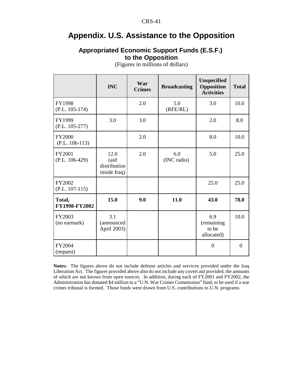# **Appendix. U.S. Assistance to the Opposition**

### **Appropriated Economic Support Funds (E.S.F.) to the Opposition**

|                                   | <b>INC</b>                                   | War<br><b>Crimes</b> | <b>Broadcasting</b> | <b>Unspecified</b><br>Opposition<br><b>Activities</b> | <b>Total</b>   |
|-----------------------------------|----------------------------------------------|----------------------|---------------------|-------------------------------------------------------|----------------|
| FY1998<br>$(P.L. 105-174)$        |                                              | 2.0                  | 5.0<br>(RFE/RL)     | 3.0                                                   | 10.0           |
| FY1999<br>$(P.L. 105-277)$        | 3.0                                          | 3.0                  |                     | 2.0                                                   | 8.0            |
| <b>FY2000</b><br>$(P.L. 106-113)$ |                                              | 2.0                  |                     | 8.0                                                   | 10.0           |
| <b>FY2001</b><br>$(P.L. 106-429)$ | 12.0<br>(aid<br>distribution<br>inside Iraq) | 2.0                  | 6.0<br>(INC radio)  | 5.0                                                   | 25.0           |
| FY2002<br>$(P.L. 107-115)$        |                                              |                      |                     | 25.0                                                  | 25.0           |
| Total,<br>FY1998-FY2002           | 15.0                                         | 9.0                  | 11.0                | 43.0                                                  | 78.0           |
| FY2003<br>(no earmark)            | 3.1<br>(announced<br>April 2003)             |                      |                     | 6.9<br>(remaining<br>to be<br>allocated)              | 10.0           |
| FY2004<br>(request)               |                                              |                      |                     | $\overline{0}$                                        | $\overline{0}$ |

(Figures in millions of dollars)

**Notes:** The figures above do not include defense articles and services provided under the Iraq Liberation Act. The figures provided above also do not include any covert aid provided, the amounts of which are not known from open sources. In addition, during each of FY2001 and FY2002, the Administration has donated \$4 million to a "U.N. War Crimes Commission" fund, to be used if a war crimes tribunal is formed. Those funds were drawn from U.S. contributions to U.N. programs.